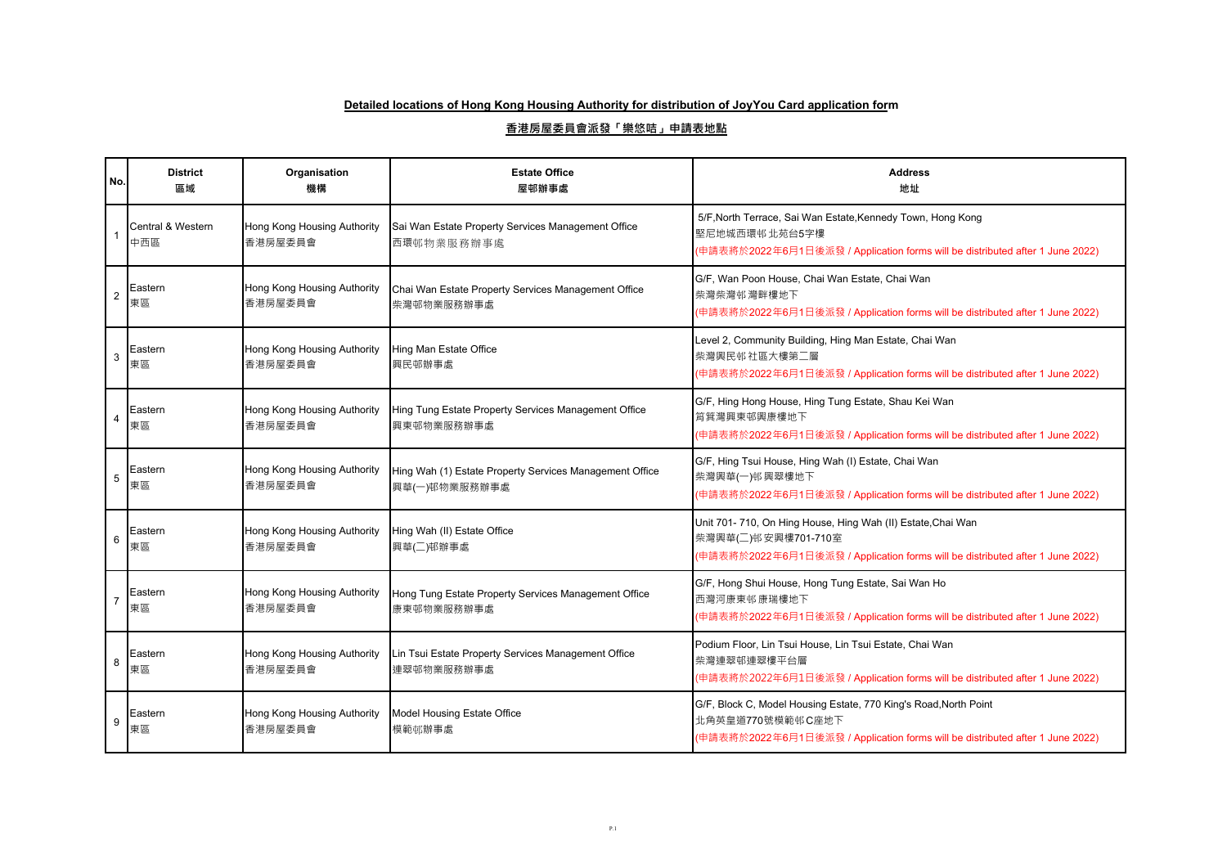| No.             | <b>District</b><br>區域    | Organisation<br>機構                     | <b>Estate Office</b><br>屋邨辦事處                                            | <b>Address</b><br>地址                                                                                                                                                  |
|-----------------|--------------------------|----------------------------------------|--------------------------------------------------------------------------|-----------------------------------------------------------------------------------------------------------------------------------------------------------------------|
|                 | Central & Western<br>中西區 | Hong Kong Housing Authority<br>香港房屋委員會 | Sai Wan Estate Property Services Management Office<br>西環邨物業服務辦事處         | 5/F, North Terrace, Sai Wan Estate, Kennedy Town, Hong Kong<br>堅尼地城西環邨 北苑台5字樓<br>(申請表將於2022年6月1日後派發 / Application forms will be distributed after 1 June 2022)        |
| $\overline{2}$  | Eastern<br>東區            | Hong Kong Housing Authority<br>香港房屋委員會 | Chai Wan Estate Property Services Management Office<br>柴灣邨物業服務辦事處        | G/F, Wan Poon House, Chai Wan Estate, Chai Wan<br>柴灣柴灣邨灣畔樓地下<br>(申請表將於2022年6月1日後派發 / Application forms will be distributed after 1 June 2022)                         |
| 3               | Eastern<br>東區            | Hong Kong Housing Authority<br>香港房屋委員會 | Hing Man Estate Office<br>興民邨辦事處                                         | Level 2, Community Building, Hing Man Estate, Chai Wan<br>柴灣興民邨社區大樓第二層<br>(申請表將於2022年6月1日後派發 / Application forms will be distributed after 1 June 2022)               |
| $\overline{4}$  | Eastern<br>東區            | Hong Kong Housing Authority<br>香港房屋委員會 | Hing Tung Estate Property Services Management Office<br>興東邨物業服務辦事處       | G/F, Hing Hong House, Hing Tung Estate, Shau Kei Wan<br>筥箕灣興東邨興康樓地下<br>(申請表將於2022年6月1日後派發 / Application forms will be distributed after 1 June 2022)                  |
| 5               | Eastern<br>東區            | Hong Kong Housing Authority<br>香港房屋委員會 | Hing Wah (1) Estate Property Services Management Office<br>興華(一)邨物業服務辦事處 | G/F, Hing Tsui House, Hing Wah (I) Estate, Chai Wan<br>柴灣興華(一)邨興翠樓地下<br>(申請表將於2022年6月1日後派發 / Application forms will be distributed after 1 June 2022)                 |
| $6\phantom{1}6$ | Eastern<br>東區            | Hong Kong Housing Authority<br>香港房屋委員會 | Hing Wah (II) Estate Office<br>興華(二)邨辦事處                                 | Unit 701-710, On Hing House, Hing Wah (II) Estate, Chai Wan<br>柴灣興華(二)邨安興樓701-710室<br>(申請表將於2022年6月1日後派發 / Application forms will be distributed after 1 June 2022)   |
| $\overline{7}$  | Eastern<br>東區            | Hong Kong Housing Authority<br>香港房屋委員會 | Hong Tung Estate Property Services Management Office<br>康東邨物業服務辦事處       | G/F, Hong Shui House, Hong Tung Estate, Sai Wan Ho<br>西灣河康東邨康瑞樓地下<br>(申請表將於2022年6月1日後派發 / Application forms will be distributed after 1 June 2022)                    |
| 8               | Eastern<br>東區            | Hong Kong Housing Authority<br>香港房屋委員會 | Lin Tsui Estate Property Services Management Office<br>連翠邨物業服務辦事處        | Podium Floor, Lin Tsui House, Lin Tsui Estate, Chai Wan<br>柴灣連翠邨連翠樓平台層<br>(申請表將於2022年6月1日後派發 / Application forms will be distributed after 1 June 2022)               |
| 9               | Eastern<br>東區            | Hong Kong Housing Authority<br>香港房屋委員會 | Model Housing Estate Office<br>模範邨辦事處                                    | G/F, Block C, Model Housing Estate, 770 King's Road, North Point<br>北角英皇道770號模範邨C座地下<br>(申請表將於2022年6月1日後派發 / Application forms will be distributed after 1 June 2022) |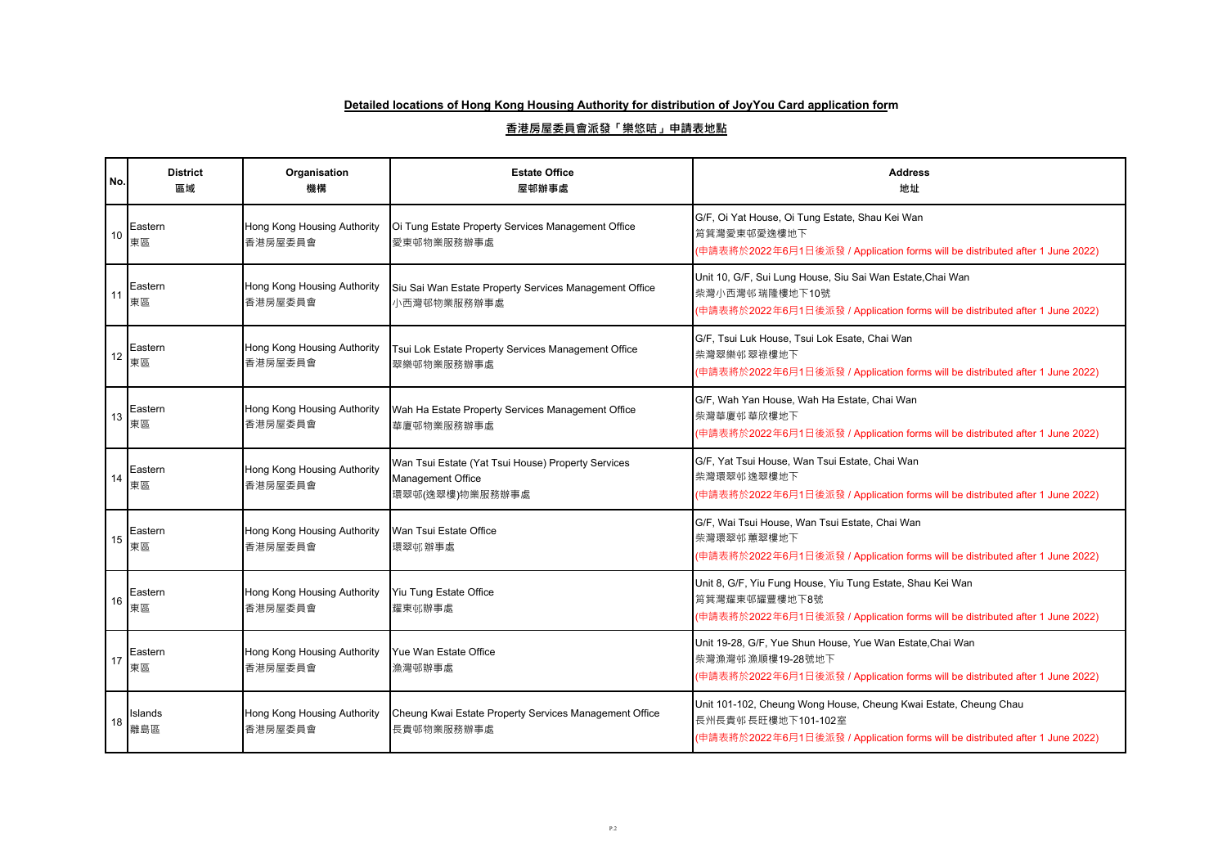| No. | <b>District</b><br>區域 | Organisation<br>機構                     | <b>Estate Office</b><br>屋邨辦事處                                                              | <b>Address</b><br>地址                                                                                                                                                    |
|-----|-----------------------|----------------------------------------|--------------------------------------------------------------------------------------------|-------------------------------------------------------------------------------------------------------------------------------------------------------------------------|
| 10  | Eastern<br>東區         | Hong Kong Housing Authority<br>香港房屋委員會 | Oi Tung Estate Property Services Management Office<br>愛東邨物業服務辦事處                           | G/F, Oi Yat House, Oi Tung Estate, Shau Kei Wan<br>筲箕灣愛東邨愛逸樓地下<br>(申請表將於2022年6月1日後派發 / Application forms will be distributed after 1 June 2022)                         |
| 11  | Eastern<br>東區         | Hong Kong Housing Authority<br>香港房屋委員會 | Siu Sai Wan Estate Property Services Management Office<br>小西灣邨物業服務辦事處                      | Unit 10, G/F, Sui Lung House, Siu Sai Wan Estate, Chai Wan<br>柴灣小西灣邨瑞隆樓地下10號<br>(申請表將於2022年6月1日後派發 / Application forms will be distributed after 1 June 2022)           |
| 12  | Eastern<br>東區         | Hong Kong Housing Authority<br>香港房屋委員會 | Tsui Lok Estate Property Services Management Office<br>翠樂邨物業服務辦事處                          | G/F, Tsui Luk House, Tsui Lok Esate, Chai Wan<br>柴灣翠樂邨翠祿樓地下<br>(申請表將於2022年6月1日後派發 / Application forms will be distributed after 1 June 2022)                            |
| 13  | Eastern<br>東區         | Hong Kong Housing Authority<br>香港房屋委員會 | Wah Ha Estate Property Services Management Office<br>華廈邨物業服務辦事處                            | G/F, Wah Yan House, Wah Ha Estate, Chai Wan<br>柴灣華廈邨華欣樓地下<br>(申請表將於2022年6月1日後派發 / Application forms will be distributed after 1 June 2022)                              |
| 14  | Eastern<br>東區         | Hong Kong Housing Authority<br>香港房屋委員會 | Wan Tsui Estate (Yat Tsui House) Property Services<br>Management Office<br>環翠邨(逸翠樓)物業服務辦事處 | G/F, Yat Tsui House, Wan Tsui Estate, Chai Wan<br>柴灣環翠邨逸翠樓地下<br>(申請表將於2022年6月1日後派發 / Application forms will be distributed after 1 June 2022)                           |
| 15  | Eastern<br>東區         | Hong Kong Housing Authority<br>香港房屋委員會 | Wan Tsui Estate Office<br>環翠邨辦事處                                                           | G/F, Wai Tsui House, Wan Tsui Estate, Chai Wan<br>柴灣環翠邨蕙翠樓地下<br>(申請表將於2022年6月1日後派發 / Application forms will be distributed after 1 June 2022)                           |
| 16  | Eastern<br>東區         | Hong Kong Housing Authority<br>香港房屋委員會 | Yiu Tung Estate Office<br>耀東邨辦事處                                                           | Unit 8, G/F, Yiu Fung House, Yiu Tung Estate, Shau Kei Wan<br>筲箕灣耀東邨耀豐樓地下8號<br>(申請表將於2022年6月1日後派發 / Application forms will be distributed after 1 June 2022)            |
| 17  | Eastern<br>東區         | Hong Kong Housing Authority<br>香港房屋委員會 | Yue Wan Estate Office<br>漁灣邨辦事處                                                            | Unit 19-28, G/F, Yue Shun House, Yue Wan Estate, Chai Wan<br>柴灣漁灣邨漁順樓19-28號地下<br>(申請表將於2022年6月1日後派發 / Application forms will be distributed after 1 June 2022)          |
| 18  | Islands<br>離島區        | Hong Kong Housing Authority<br>香港房屋委員會 | Cheung Kwai Estate Property Services Management Office<br>長貴邨物業服務辦事處                       | Unit 101-102, Cheung Wong House, Cheung Kwai Estate, Cheung Chau<br>長州長貴邨長旺樓地下101-102室<br>(申請表將於2022年6月1日後派發 / Application forms will be distributed after 1 June 2022) |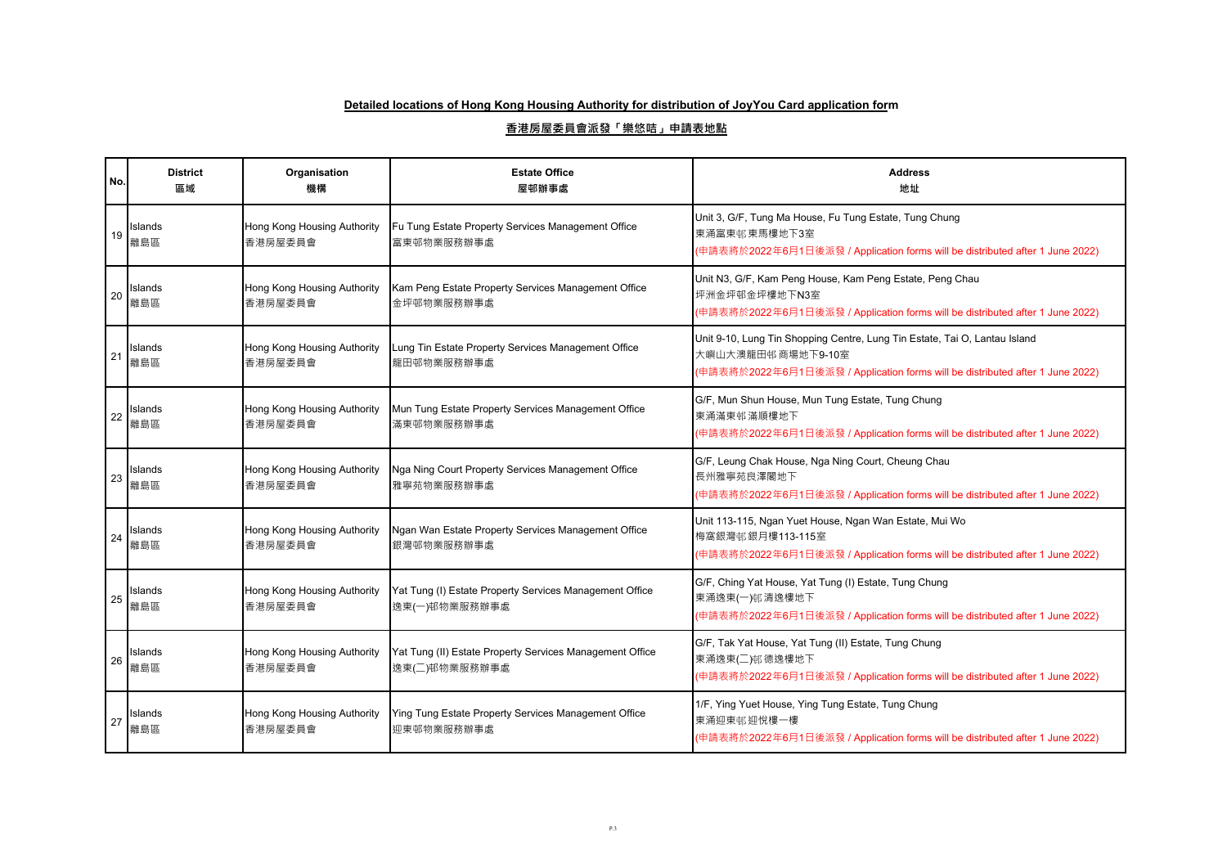| No. | <b>District</b><br>區域 | Organisation<br>機構                     | <b>Estate Office</b><br>屋邨辦事處                                             | <b>Address</b><br>地址                                                                                                                                                             |
|-----|-----------------------|----------------------------------------|---------------------------------------------------------------------------|----------------------------------------------------------------------------------------------------------------------------------------------------------------------------------|
| 19  | Islands<br>離島區        | Hong Kong Housing Authority<br>香港房屋委員會 | Fu Tung Estate Property Services Management Office<br>富東邨物業服務辦事處          | Unit 3, G/F, Tung Ma House, Fu Tung Estate, Tung Chung<br>東涌富東邨東馬樓地下3室<br>(申請表將於2022年6月1日後派發 / Application forms will be distributed after 1 June 2022)                          |
| 20  | Islands<br>離島區        | Hong Kong Housing Authority<br>香港房屋委員會 | Kam Peng Estate Property Services Management Office<br>金坪邨物業服務辦事處         | Unit N3, G/F, Kam Peng House, Kam Peng Estate, Peng Chau<br>坪洲金坪邨金坪樓地下N3室<br>(申請表將於2022年6月1日後派發 / Application forms will be distributed after 1 June 2022)                       |
| 21  | Islands<br>離島區        | Hong Kong Housing Authority<br>香港房屋委員會 | Lung Tin Estate Property Services Management Office<br>龍田邨物業服務辦事處         | Unit 9-10, Lung Tin Shopping Centre, Lung Tin Estate, Tai O, Lantau Island<br>大嶼山大澳龍田邨商場地下9-10室<br>(申請表將於2022年6月1日後派發 / Application forms will be distributed after 1 June 2022) |
| 22  | Islands<br>離島區        | Hong Kong Housing Authority<br>香港房屋委員會 | Mun Tung Estate Property Services Management Office<br>滿東邨物業服務辦事處         | G/F, Mun Shun House, Mun Tung Estate, Tung Chung<br>東涌滿東邨滿順樓地下<br>(申請表將於2022年6月1日後派發 / Application forms will be distributed after 1 June 2022)                                  |
| 23  | Islands<br>離島區        | Hong Kong Housing Authority<br>香港房屋委員會 | Nga Ning Court Property Services Management Office<br>雅寧苑物業服務辦事處          | G/F, Leung Chak House, Nga Ning Court, Cheung Chau<br>長州雅寧苑良澤閣地下<br>(申請表將於2022年6月1日後派發 / Application forms will be distributed after 1 June 2022)                                |
| 24  | Islands<br>離島區        | Hong Kong Housing Authority<br>香港房屋委員會 | Ngan Wan Estate Property Services Management Office<br>銀灣邨物業服務辦事處         | Unit 113-115, Ngan Yuet House, Ngan Wan Estate, Mui Wo<br>梅窩銀灣邨銀月樓113-115室<br>(申請表將於2022年6月1日後派發 / Application forms will be distributed after 1 June 2022)                      |
| 25  | Islands<br>離島區        | Hong Kong Housing Authority<br>香港房屋委員會 | Yat Tung (I) Estate Property Services Management Office<br>逸東(一)邨物業服務辦事處  | G/F, Ching Yat House, Yat Tung (I) Estate, Tung Chung<br>東涌逸東(一)邨清逸樓地下<br>(申請表將於2022年6月1日後派發 / Application forms will be distributed after 1 June 2022)                          |
| 26  | Islands<br>離島區        | Hong Kong Housing Authority<br>香港房屋委員會 | Yat Tung (II) Estate Property Services Management Office<br>逸東(二)邨物業服務辦事處 | G/F, Tak Yat House, Yat Tung (II) Estate, Tung Chung<br>東涌逸東(二)邨德逸樓地下<br>(申請表將於2022年6月1日後派發 / Application forms will be distributed after 1 June 2022)                           |
| 27  | Islands<br>離島區        | Hong Kong Housing Authority<br>香港房屋委員會 | Ying Tung Estate Property Services Management Office<br>迎東邨物業服務辦事處        | 1/F, Ying Yuet House, Ying Tung Estate, Tung Chung<br>東涌迎東邨迎悅樓一樓<br>(申請表將於2022年6月1日後派發 / Application forms will be distributed after 1 June 2022)                                |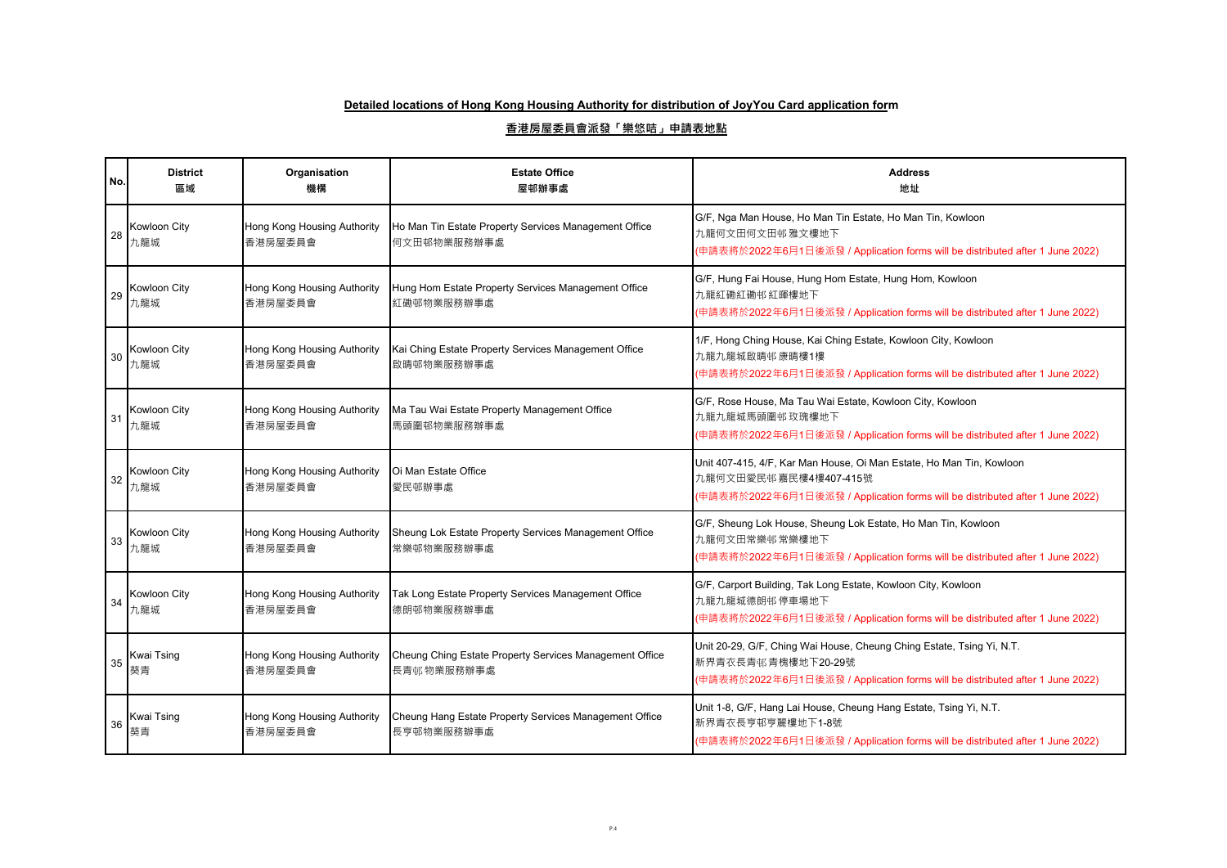| No. | <b>District</b><br>區域   | Organisation<br>機構                     | <b>Estate Office</b><br>屋邨辦事處                                         | <b>Address</b><br>地址                                                                                                                                                           |
|-----|-------------------------|----------------------------------------|-----------------------------------------------------------------------|--------------------------------------------------------------------------------------------------------------------------------------------------------------------------------|
| 28  | Kowloon City<br>九龍城     | Hong Kong Housing Authority<br>香港房屋委員會 | Ho Man Tin Estate Property Services Management Office<br>何文田邨物業服務辦事處  | G/F, Nga Man House, Ho Man Tin Estate, Ho Man Tin, Kowloon<br>九龍何文田何文田邨雅文樓地下<br>(申請表將於2022年6月1日後派發 / Application forms will be distributed after 1 June 2022)                  |
| 29  | Kowloon City<br>九龍城     | Hong Kong Housing Authority<br>香港房屋委員會 | Hung Hom Estate Property Services Management Office<br>紅磡邨物業服務辦事處     | G/F, Hung Fai House, Hung Hom Estate, Hung Hom, Kowloon<br>九龍紅磡紅磡邨紅暉樓地下<br>(申請表將於2022年6月1日後派發 / Application forms will be distributed after 1 June 2022)                       |
| 30  | Kowloon City<br>九龍城     | Hong Kong Housing Authority<br>香港房屋委員會 | Kai Ching Estate Property Services Management Office<br>啟晴邨物業服務辦事處    | 1/F, Hong Ching House, Kai Ching Estate, Kowloon City, Kowloon<br>九龍九龍城啟晴邨康晴樓1樓<br>(申請表將於2022年6月1日後派發 / Application forms will be distributed after 1 June 2022)               |
| 31  | Kowloon City<br>九龍城     | Hong Kong Housing Authority<br>香港房屋委員會 | Ma Tau Wai Estate Property Management Office<br>馬頭圍邨物業服務辦事處           | G/F, Rose House, Ma Tau Wai Estate, Kowloon City, Kowloon<br>九龍九龍城馬頭圍邨玫瑰樓地下<br>(申請表將於2022年6月1日後派發 / Application forms will be distributed after 1 June 2022)                   |
| 32  | Kowloon City<br>九龍城     | Hong Kong Housing Authority<br>香港房屋委員會 | Oi Man Estate Office<br>愛民邨辦事處                                        | Unit 407-415, 4/F, Kar Man House, Oi Man Estate, Ho Man Tin, Kowloon<br>九龍何文田愛民邨嘉民樓4樓407-415號<br>(申請表將於2022年6月1日後派發 / Application forms will be distributed after 1 June 2022) |
| 33  | Kowloon City<br>九龍城     | Hong Kong Housing Authority<br>香港房屋委員會 | Sheung Lok Estate Property Services Management Office<br>常樂邨物業服務辦事處   | G/F, Sheung Lok House, Sheung Lok Estate, Ho Man Tin, Kowloon<br>九龍何文田常樂邨常樂樓地下<br>(申請表將於2022年6月1日後派發 / Application forms will be distributed after 1 June 2022)                |
| 34  | Kowloon City<br>九龍城     | Hong Kong Housing Authority<br>香港房屋委員會 | Tak Long Estate Property Services Management Office<br>德朗邨物業服務辦事處     | G/F, Carport Building, Tak Long Estate, Kowloon City, Kowloon<br>九龍九龍城德朗邨停車場地下<br>(申請表將於2022年6月1日後派發 / Application forms will be distributed after 1 June 2022)                |
| 35  | Kwai Tsing<br>葵青        | Hong Kong Housing Authority<br>香港房屋委員會 | Cheung Ching Estate Property Services Management Office<br>長青邨物業服務辦事處 | Unit 20-29, G/F, Ching Wai House, Cheung Ching Estate, Tsing Yi, N.T.<br>新界青衣長青邨青槐樓地下20-29號<br>(申請表將於2022年6月1日後派發 / Application forms will be distributed after 1 June 2022)   |
| 36  | <b>Kwai Tsing</b><br>葵青 | Hong Kong Housing Authority<br>香港房屋委員會 | Cheung Hang Estate Property Services Management Office<br>長亨邨物業服務辦事處  | Unit 1-8, G/F, Hang Lai House, Cheung Hang Estate, Tsing Yi, N.T.<br>新界青衣長亨邨亨麗樓地下1-8號<br>(申請表將於2022年6月1日後派發 / Application forms will be distributed after 1 June 2022)         |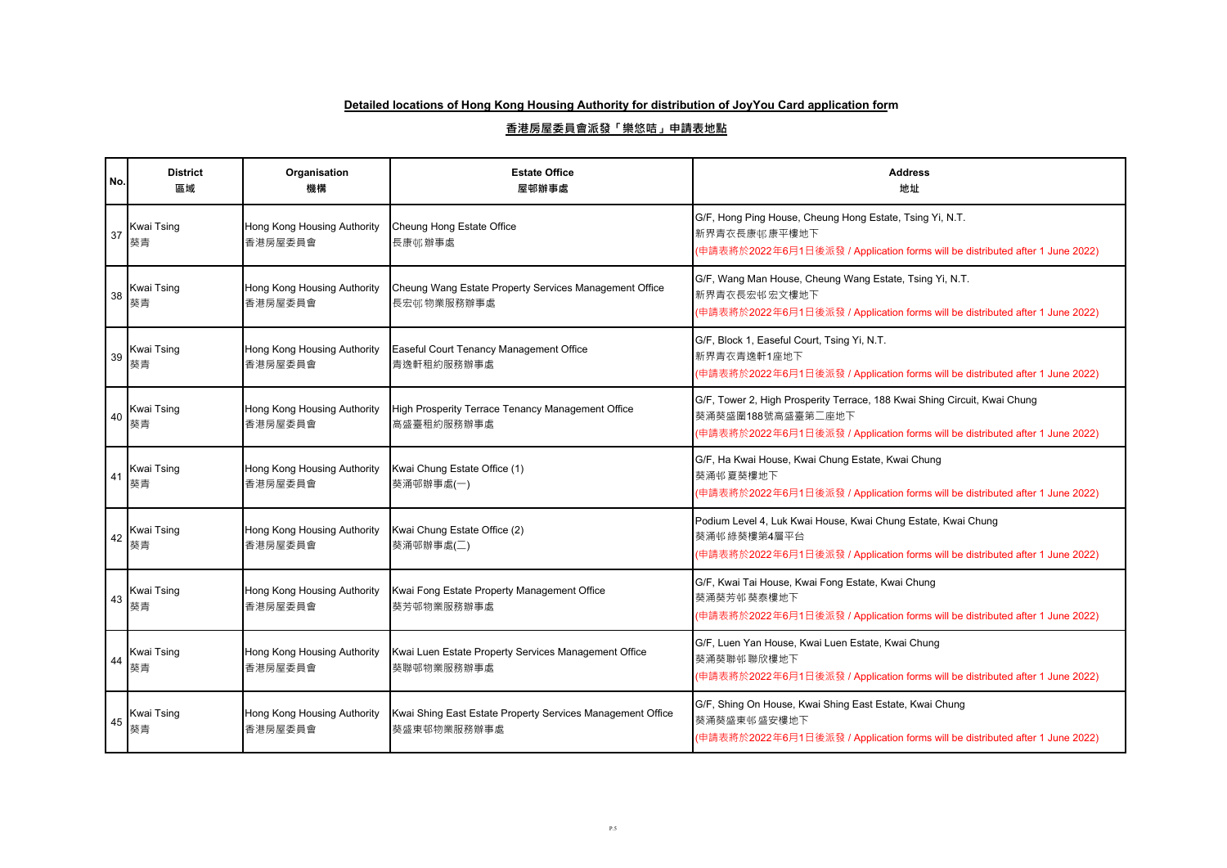| No. | <b>District</b><br>區域   | Organisation<br>機構                     | <b>Estate Office</b><br>屋邨辦事處                                             | <b>Address</b><br>地址                                                                                                                                                            |
|-----|-------------------------|----------------------------------------|---------------------------------------------------------------------------|---------------------------------------------------------------------------------------------------------------------------------------------------------------------------------|
| 37  | Kwai Tsing<br>葵青        | Hong Kong Housing Authority<br>香港房屋委員會 | Cheung Hong Estate Office<br>長康邨辦事處                                       | G/F, Hong Ping House, Cheung Hong Estate, Tsing Yi, N.T.<br>新界青衣長康邨康平樓地下<br>(申請表將於2022年6月1日後派發 / Application forms will be distributed after 1 June 2022)                       |
| 38  | Kwai Tsing<br>葵青        | Hong Kong Housing Authority<br>香港房屋委員會 | Cheung Wang Estate Property Services Management Office<br>長宏邨物業服務辦事處      | G/F, Wang Man House, Cheung Wang Estate, Tsing Yi, N.T.<br>新界青衣長宏邨宏文樓地下<br>(申請表將於2022年6月1日後派發 / Application forms will be distributed after 1 June 2022)                        |
| 39  | <b>Kwai Tsing</b><br>葵青 | Hong Kong Housing Authority<br>香港房屋委員會 | Easeful Court Tenancy Management Office<br>青逸軒租約服務辦事處                     | G/F, Block 1, Easeful Court, Tsing Yi, N.T.<br>新界青衣青逸軒1座地下<br>(申請表將於2022年6月1日後派發 / Application forms will be distributed after 1 June 2022)                                     |
| 40  | Kwai Tsing<br>葵青        | Hong Kong Housing Authority<br>香港房屋委員會 | High Prosperity Terrace Tenancy Management Office<br>高盛臺租約服務辦事處           | G/F, Tower 2, High Prosperity Terrace, 188 Kwai Shing Circuit, Kwai Chung<br>葵涌葵盛圍188號高盛臺第二座地下<br>(申請表將於2022年6月1日後派發 / Application forms will be distributed after 1 June 2022) |
| 41  | <b>Kwai Tsing</b><br>葵青 | Hong Kong Housing Authority<br>香港房屋委員會 | Kwai Chung Estate Office (1)<br>葵涌邨辦事處(一)                                 | G/F, Ha Kwai House, Kwai Chung Estate, Kwai Chung<br>葵涌邨夏葵樓地下<br>(申請表將於2022年6月1日後派發 / Application forms will be distributed after 1 June 2022)                                  |
| 42  | Kwai Tsing<br>葵青        | Hong Kong Housing Authority<br>香港房屋委員會 | Kwai Chung Estate Office (2)<br>葵涌邨辦事處(二)                                 | Podium Level 4, Luk Kwai House, Kwai Chung Estate, Kwai Chung<br>葵涌邨 綠葵樓第4層平台<br>(申請表將於2022年6月1日後派發 / Application forms will be distributed after 1 June 2022)                  |
| 43  | Kwai Tsing<br>葵青        | Hong Kong Housing Authority<br>香港房屋委員會 | Kwai Fong Estate Property Management Office<br>葵芳邨物業服務辦事處                 | G/F, Kwai Tai House, Kwai Fong Estate, Kwai Chung<br>葵涌葵芳邨葵泰樓地下<br>(申請表將於2022年6月1日後派發 / Application forms will be distributed after 1 June 2022)                                |
| 44  | Kwai Tsing<br>葵青        | Hong Kong Housing Authority<br>香港房屋委員會 | Kwai Luen Estate Property Services Management Office<br>葵聯邨物業服務辦事處        | G/F, Luen Yan House, Kwai Luen Estate, Kwai Chung<br>葵涌葵聯邨聯欣樓地下<br>(申請表將於2022年6月1日後派發 / Application forms will be distributed after 1 June 2022)                                |
| 45  | Kwai Tsing<br>葵青        | Hong Kong Housing Authority<br>香港房屋委員會 | Kwai Shing East Estate Property Services Management Office<br>葵盛東邨物業服務辦事處 | G/F, Shing On House, Kwai Shing East Estate, Kwai Chung<br>葵涌葵盛東邨盛安樓地下<br>(申請表將於2022年6月1日後派發 / Application forms will be distributed after 1 June 2022)                         |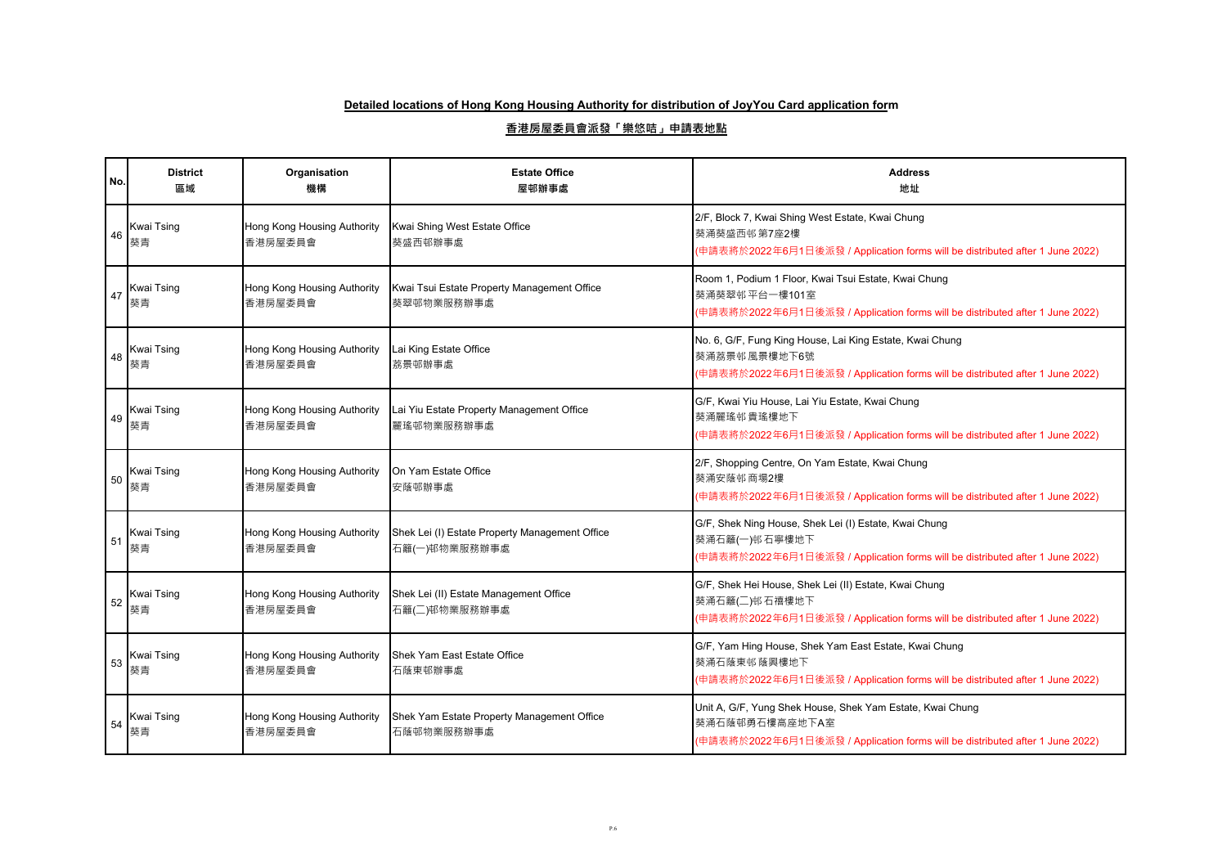| No. | <b>District</b><br>區域   | Organisation<br>機構                     | <b>Estate Office</b><br>屋邨辦事處                                   | <b>Address</b><br>地址                                                                                                                                         |
|-----|-------------------------|----------------------------------------|-----------------------------------------------------------------|--------------------------------------------------------------------------------------------------------------------------------------------------------------|
| 46  | <b>Kwai Tsing</b><br>葵青 | Hong Kong Housing Authority<br>香港房屋委員會 | Kwai Shing West Estate Office<br>葵盛西邨辦事處                        | 2/F, Block 7, Kwai Shing West Estate, Kwai Chung<br>葵涌葵盛西邨第7座2樓<br>(申請表將於2022年6月1日後派發 / Application forms will be distributed after 1 June 2022)             |
| 47  | <b>Kwai Tsing</b><br>葵青 | Hong Kong Housing Authority<br>香港房屋委員會 | Kwai Tsui Estate Property Management Office<br>葵翠邨物業服務辦事處       | Room 1, Podium 1 Floor, Kwai Tsui Estate, Kwai Chung<br>葵涌葵翠邨平台一樓101室<br>(申請表將於2022年6月1日後派發 / Application forms will be distributed after 1 June 2022)       |
| 48  | Kwai Tsing<br>葵青        | Hong Kong Housing Authority<br>香港房屋委員會 | Lai King Estate Office<br>荔景邨辦事處                                | No. 6, G/F, Fung King House, Lai King Estate, Kwai Chung<br>葵涌荔景邨 風景樓地下6號<br>(申請表將於2022年6月1日後派發 / Application forms will be distributed after 1 June 2022)   |
| 49  | <b>Kwai Tsing</b><br>葵青 | Hong Kong Housing Authority<br>香港房屋委員會 | Lai Yiu Estate Property Management Office<br>麗瑤邨物業服務辦事處         | G/F, Kwai Yiu House, Lai Yiu Estate, Kwai Chung<br>葵涌麗瑤邨貴瑤樓地下<br>(申請表將於2022年6月1日後派發 / Application forms will be distributed after 1 June 2022)               |
| 50  | <b>Kwai Tsing</b><br>葵青 | Hong Kong Housing Authority<br>香港房屋委員會 | On Yam Estate Office<br>安蔭邨辦事處                                  | 2/F, Shopping Centre, On Yam Estate, Kwai Chung<br>葵涌安蔭邨商場2樓<br>(申請表將於2022年6月1日後派發 / Application forms will be distributed after 1 June 2022)                |
| 51  | <b>Kwai Tsing</b><br>葵青 | Hong Kong Housing Authority<br>香港房屋委員會 | Shek Lei (I) Estate Property Management Office<br>石籬(一)邨物業服務辦事處 | G/F, Shek Ning House, Shek Lei (I) Estate, Kwai Chung<br>葵涌石籬(一)邨石寧樓地下<br>(申請表將於2022年6月1日後派發 / Application forms will be distributed after 1 June 2022)      |
| 52  | <b>Kwai Tsing</b><br>葵青 | Hong Kong Housing Authority<br>香港房屋委員會 | Shek Lei (II) Estate Management Office<br>石籬(二)邨物業服務辦事處         | G/F, Shek Hei House, Shek Lei (II) Estate, Kwai Chung<br>葵涌石籬(二)邨石禧樓地下<br>(申請表將於2022年6月1日後派發 / Application forms will be distributed after 1 June 2022)      |
| 53  | Kwai Tsing<br>葵青        | Hong Kong Housing Authority<br>香港房屋委員會 | Shek Yam East Estate Office<br>石蔭東邨辦事處                          | G/F, Yam Hing House, Shek Yam East Estate, Kwai Chung<br>葵涌石蔭東邨蔭興樓地下<br>(申請表將於2022年6月1日後派發 / Application forms will be distributed after 1 June 2022)        |
| 54  | <b>Kwai Tsing</b><br>葵青 | Hong Kong Housing Authority<br>香港房屋委員會 | Shek Yam Estate Property Management Office<br>石蔭邨物業服務辦事處        | Unit A, G/F, Yung Shek House, Shek Yam Estate, Kwai Chung<br>葵涌石蔭邨勇石樓高座地下A室<br>(申請表將於2022年6月1日後派發 / Application forms will be distributed after 1 June 2022) |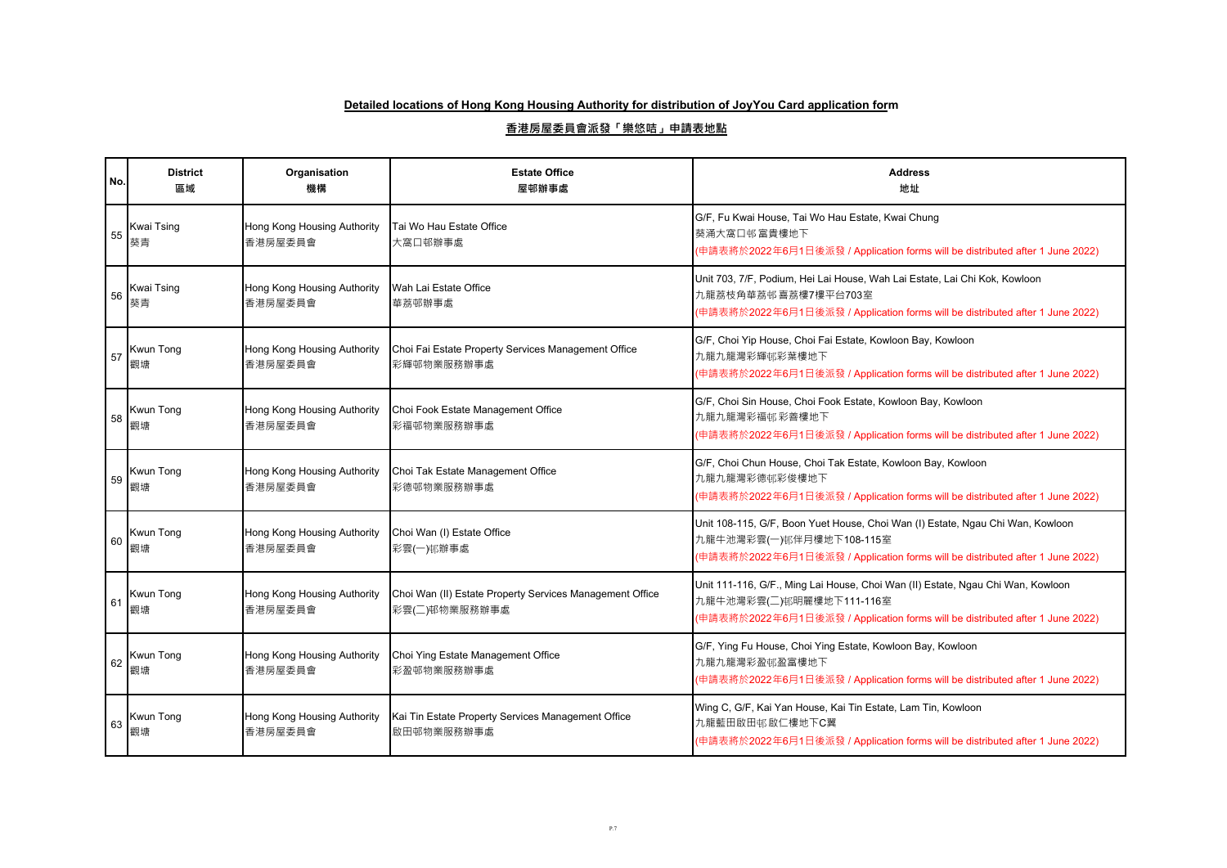| No. | <b>District</b><br>區域   | Organisation<br>機構                     | <b>Estate Office</b><br>屋邨辦事處                                             | <b>Address</b><br>地址                                                                                                                                                                         |
|-----|-------------------------|----------------------------------------|---------------------------------------------------------------------------|----------------------------------------------------------------------------------------------------------------------------------------------------------------------------------------------|
| 55  | Kwai Tsing<br>葵青        | Hong Kong Housing Authority<br>香港房屋委員會 | Tai Wo Hau Estate Office<br>大窩口邨辦事處                                       | G/F, Fu Kwai House, Tai Wo Hau Estate, Kwai Chung<br>葵涌大窩口邨富貴樓地下<br>(申請表將於2022年6月1日後派發 / Application forms will be distributed after 1 June 2022)                                            |
| 56  | <b>Kwai Tsing</b><br>葵青 | Hong Kong Housing Authority<br>香港房屋委員會 | Wah Lai Estate Office<br>華荔邨辦事處                                           | Unit 703, 7/F, Podium, Hei Lai House, Wah Lai Estate, Lai Chi Kok, Kowloon<br>九龍荔枝角華荔邨喜荔樓7樓平台703室<br>(申請表將於2022年6月1日後派發 / Application forms will be distributed after 1 June 2022)           |
| 57  | <b>Kwun Tong</b><br>觀塘  | Hong Kong Housing Authority<br>香港房屋委員會 | Choi Fai Estate Property Services Management Office<br>彩輝邨物業服務辦事處         | G/F, Choi Yip House, Choi Fai Estate, Kowloon Bay, Kowloon<br>九龍九龍灣彩輝邨彩葉樓地下<br>(申請表將於2022年6月1日後派發 / Application forms will be distributed after 1 June 2022)                                 |
| 58  | Kwun Tong<br>觀塘         | Hong Kong Housing Authority<br>香港房屋委員會 | Choi Fook Estate Management Office<br>彩福邨物業服務辦事處                          | G/F, Choi Sin House, Choi Fook Estate, Kowloon Bay, Kowloon<br>九龍九龍灣彩福邨彩善樓地下<br>(申請表將於2022年6月1日後派發 / Application forms will be distributed after 1 June 2022)                                |
| 59  | <b>Kwun Tong</b><br>觀塘  | Hong Kong Housing Authority<br>香港房屋委員會 | Choi Tak Estate Management Office<br>彩德邨物業服務辦事處                           | G/F, Choi Chun House, Choi Tak Estate, Kowloon Bay, Kowloon<br>九龍九龍灣彩德邨彩俊樓地下<br>(申請表將於2022年6月1日後派發 / Application forms will be distributed after 1 June 2022)                                |
| 60  | Kwun Tong<br>觀塘         | Hong Kong Housing Authority<br>香港房屋委員會 | Choi Wan (I) Estate Office<br>彩雲(一)邨辦事處                                   | Unit 108-115, G/F, Boon Yuet House, Choi Wan (I) Estate, Ngau Chi Wan, Kowloon<br>九龍牛池灣彩雲(一)邨伴月樓地下108-115室<br>(申請表將於2022年6月1日後派發 / Application forms will be distributed after 1 June 2022)  |
| 61  | Kwun Tong<br>觀塘         | Hong Kong Housing Authority<br>香港房屋委員會 | Choi Wan (II) Estate Property Services Management Office<br>彩雲(二)邨物業服務辦事處 | Unit 111-116, G/F., Ming Lai House, Choi Wan (II) Estate, Ngau Chi Wan, Kowloon<br>九龍牛池灣彩雲(二)邨明麗樓地下111-116室<br>(申請表將於2022年6月1日後派發 / Application forms will be distributed after 1 June 2022) |
| 62  | Kwun Tong<br>觀塘         | Hong Kong Housing Authority<br>香港房屋委員會 | Choi Ying Estate Management Office<br>彩盈邨物業服務辦事處                          | G/F, Ying Fu House, Choi Ying Estate, Kowloon Bay, Kowloon<br>九龍九龍灣彩盈邨盈富樓地下<br>(申請表將於2022年6月1日後派發 / Application forms will be distributed after 1 June 2022)                                 |
| 63  | <b>Kwun Tong</b><br>觀塘  | Hong Kong Housing Authority<br>香港房屋委員會 | Kai Tin Estate Property Services Management Office<br>啟田邨物業服務辦事處          | Wing C, G/F, Kai Yan House, Kai Tin Estate, Lam Tin, Kowloon<br>九龍藍田啟田邨啟仁樓地下C翼<br>(申請表將於2022年6月1日後派發 / Application forms will be distributed after 1 June 2022)                              |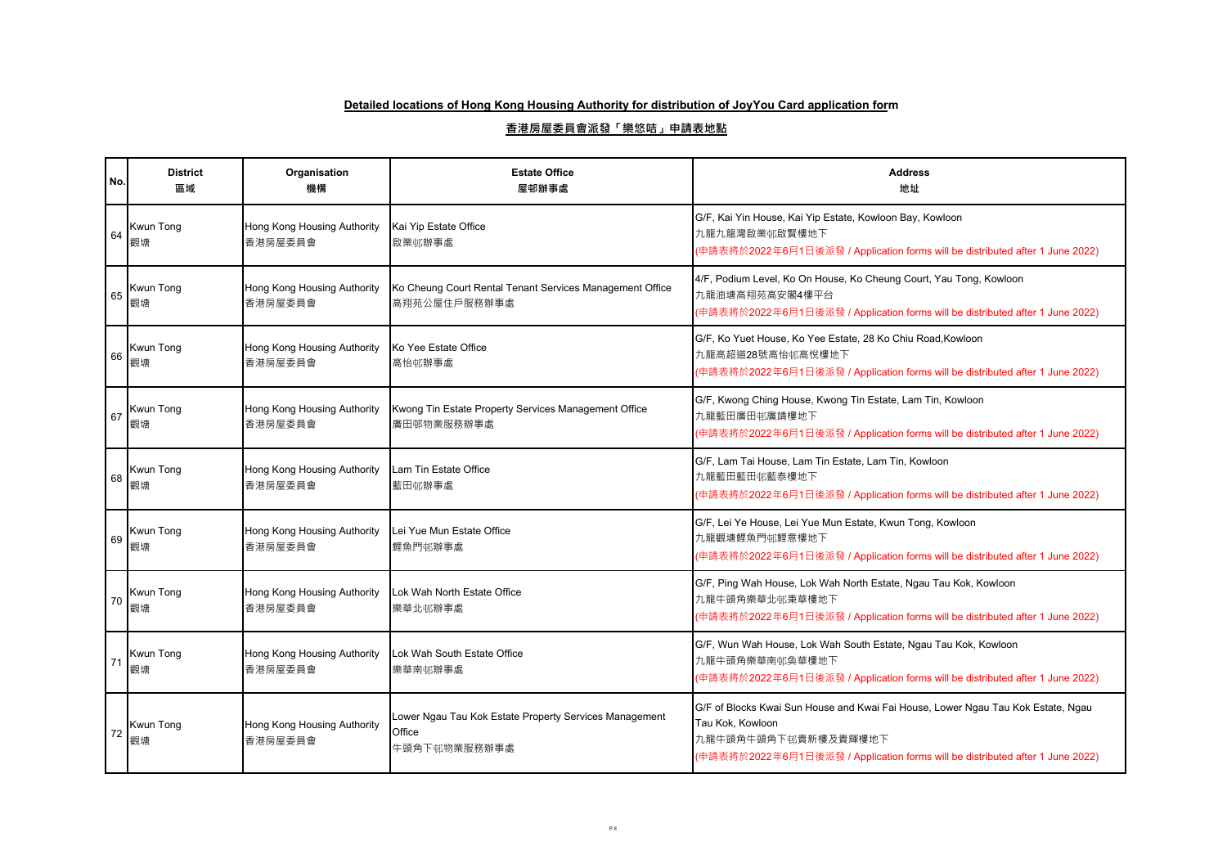| No. | <b>District</b><br>區域  | Organisation<br>機構                     | <b>Estate Office</b><br>屋邨辦事處                                                    | <b>Address</b><br>地址                                                                                                                                                                                         |
|-----|------------------------|----------------------------------------|----------------------------------------------------------------------------------|--------------------------------------------------------------------------------------------------------------------------------------------------------------------------------------------------------------|
| 64  | <b>Kwun Tong</b><br>觀塘 | Hong Kong Housing Authority<br>香港房屋委員會 | Kai Yip Estate Office<br>啟業邨辦事處                                                  | G/F, Kai Yin House, Kai Yip Estate, Kowloon Bay, Kowloon<br>九龍九龍灣啟業邨啟賢樓地下<br>(申請表將於2022年6月1日後派發 / Application forms will be distributed after 1 June 2022)                                                   |
| 65  | <b>Kwun Tong</b><br>觀塘 | Hong Kong Housing Authority<br>香港房屋委員會 | Ko Cheung Court Rental Tenant Services Management Office<br>高翔苑公屋住戶服務辦事處         | 4/F, Podium Level, Ko On House, Ko Cheung Court, Yau Tong, Kowloon<br>九龍油塘高翔苑高安閣4樓平台<br>(申請表將於2022年6月1日後派發 / Application forms will be distributed after 1 June 2022)                                        |
| 66  | Kwun Tong<br>觀塘        | Hong Kong Housing Authority<br>香港房屋委員會 | Ko Yee Estate Office<br>高怡邨辦事處                                                   | G/F, Ko Yuet House, Ko Yee Estate, 28 Ko Chiu Road, Kowloon<br>九龍高超道28號高怡邨高悅樓地下<br>(申請表將於2022年6月1日後派發 / Application forms will be distributed after 1 June 2022)                                             |
| 67  | Kwun Tong<br>觀塘        | Hong Kong Housing Authority<br>香港房屋委員會 | Kwong Tin Estate Property Services Management Office<br>廣田邨物業服務辦事處               | G/F, Kwong Ching House, Kwong Tin Estate, Lam Tin, Kowloon<br>九龍藍田廣田邨廣靖樓地下<br>(申請表將於2022年6月1日後派發 / Application forms will be distributed after 1 June 2022)                                                  |
| 68  | <b>Kwun Tong</b><br>觀塘 | Hong Kong Housing Authority<br>香港房屋委員會 | Lam Tin Estate Office<br>藍田邨辦事處                                                  | G/F, Lam Tai House, Lam Tin Estate, Lam Tin, Kowloon<br>九龍藍田藍田邨藍泰樓地下<br>(申請表將於2022年6月1日後派發 / Application forms will be distributed after 1 June 2022)                                                        |
| 69  | <b>Kwun Tong</b><br>觀塘 | Hong Kong Housing Authority<br>香港房屋委員會 | Lei Yue Mun Estate Office<br>鯉魚門邨辦事處                                             | G/F, Lei Ye House, Lei Yue Mun Estate, Kwun Tong, Kowloon<br>九龍觀塘鯉魚門邨鯉意樓地下<br>(申請表將於2022年6月1日後派發 / Application forms will be distributed after 1 June 2022)                                                  |
| 70  | Kwun Tong<br>觀塘        | Hong Kong Housing Authority<br>香港房屋委員會 | Lok Wah North Estate Office<br>樂華北邨辦事處                                           | G/F, Ping Wah House, Lok Wah North Estate, Ngau Tau Kok, Kowloon<br>九龍牛頭角樂華北邨秉華樓地下<br>(申請表將於2022年6月1日後派發 / Application forms will be distributed after 1 June 2022)                                          |
| 71  | Kwun Tong<br>觀塘        | Hong Kong Housing Authority<br>香港房屋委員會 | Lok Wah South Estate Office<br>樂華南邨辦事處                                           | G/F, Wun Wah House, Lok Wah South Estate, Ngau Tau Kok, Kowloon<br>九龍牛頭角樂華南邨奐華樓地下<br>(申請表將於2022年6月1日後派發 / Application forms will be distributed after 1 June 2022)                                           |
| 72  | Kwun Tong<br>觀塘        | Hong Kong Housing Authority<br>香港房屋委員會 | Lower Ngau Tau Kok Estate Property Services Management<br>Office<br>牛頭角下邨物業服務辦事處 | G/F of Blocks Kwai Sun House and Kwai Fai House, Lower Ngau Tau Kok Estate, Ngau<br>Tau Kok, Kowloon<br>九龍牛頭角牛頭角下邨貴新樓及貴輝樓地下<br>(申請表將於2022年6月1日後派發 / Application forms will be distributed after 1 June 2022) |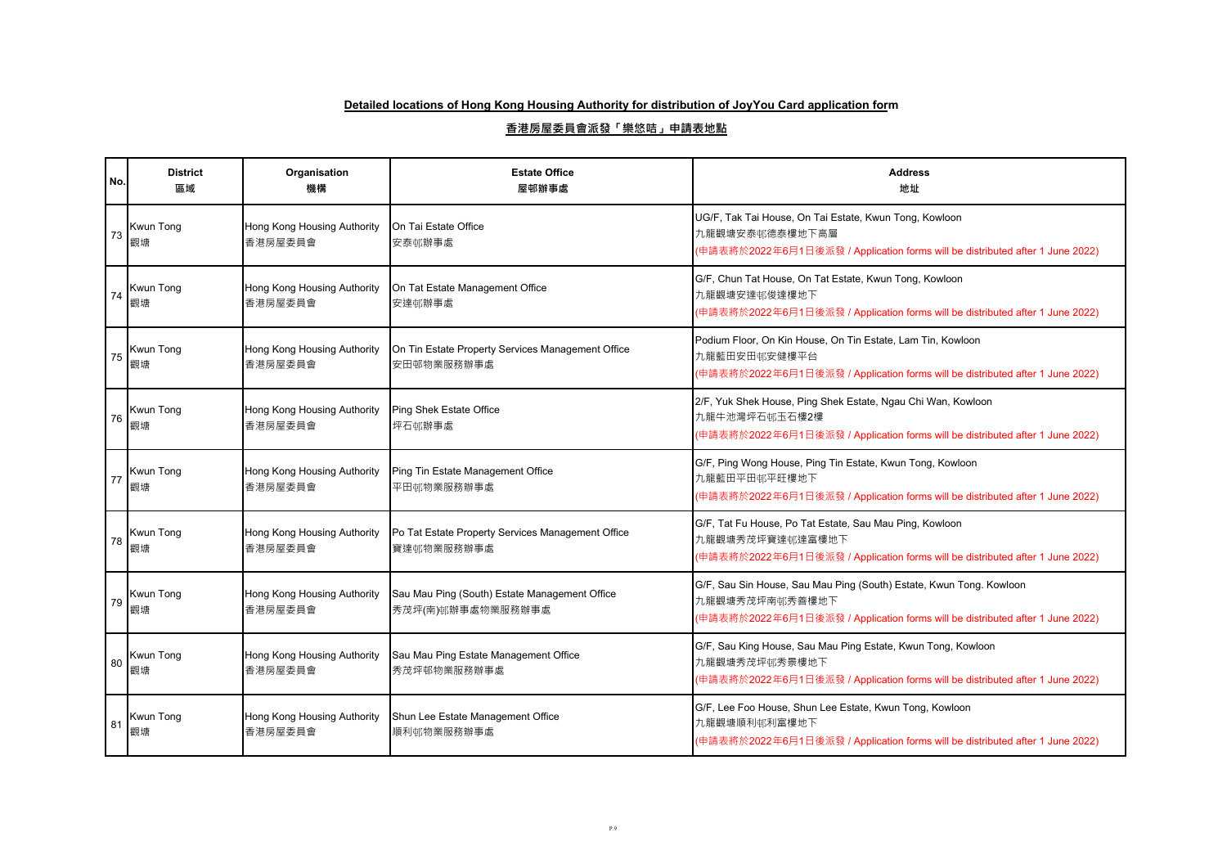| No. | <b>District</b><br>區域  | Organisation<br>機構                     | <b>Estate Office</b><br>屋邨辦事處                                      | <b>Address</b><br>地址                                                                                                                                                   |
|-----|------------------------|----------------------------------------|--------------------------------------------------------------------|------------------------------------------------------------------------------------------------------------------------------------------------------------------------|
| 73  | Kwun Tong<br>觀塘        | Hong Kong Housing Authority<br>香港房屋委員會 | On Tai Estate Office<br>安泰邨辦事處                                     | UG/F, Tak Tai House, On Tai Estate, Kwun Tong, Kowloon<br>九龍觀塘安泰邨德泰樓地下高層<br>(申請表將於2022年6月1日後派發 / Application forms will be distributed after 1 June 2022)              |
| 74  | <b>Kwun Tong</b><br>觀塘 | Hong Kong Housing Authority<br>香港房屋委員會 | On Tat Estate Management Office<br>安達邨辦事處                          | G/F, Chun Tat House, On Tat Estate, Kwun Tong, Kowloon<br>九龍觀塘安達邨俊達樓地下<br>(申請表將於2022年6月1日後派發 / Application forms will be distributed after 1 June 2022)                |
| 75  | <b>Kwun Tong</b><br>觀塘 | Hong Kong Housing Authority<br>香港房屋委員會 | On Tin Estate Property Services Management Office<br>安田邨物業服務辦事處    | Podium Floor, On Kin House, On Tin Estate, Lam Tin, Kowloon<br>九龍藍田安田邨安健樓平台<br>(申請表將於2022年6月1日後派發 / Application forms will be distributed after 1 June 2022)           |
| 76  | Kwun Tong<br>觀塘        | Hong Kong Housing Authority<br>香港房屋委員會 | Ping Shek Estate Office<br>坪石邨辦事處                                  | 2/F, Yuk Shek House, Ping Shek Estate, Ngau Chi Wan, Kowloon<br>九龍牛池灣坪石邨玉石樓2樓<br>(申請表將於2022年6月1日後派發 / Application forms will be distributed after 1 June 2022)         |
| 77  | <b>Kwun Tong</b><br>觀塘 | Hong Kong Housing Authority<br>香港房屋委員會 | Ping Tin Estate Management Office<br>平田邨物業服務辦事處                    | G/F, Ping Wong House, Ping Tin Estate, Kwun Tong, Kowloon<br>九龍藍田平田邨平旺樓地下<br>(申請表將於2022年6月1日後派發 / Application forms will be distributed after 1 June 2022)             |
| 78  | Kwun Tong<br>觀塘        | Hong Kong Housing Authority<br>香港房屋委員會 | Po Tat Estate Property Services Management Office<br>寶達邨物業服務辦事處    | G/F, Tat Fu House, Po Tat Estate, Sau Mau Ping, Kowloon<br>九龍觀塘秀茂坪寶達邨達富樓地下<br>(申請表將於2022年6月1日後派發 / Application forms will be distributed after 1 June 2022)            |
| 79  | Kwun Tong<br>觀塘        | Hong Kong Housing Authority<br>香港房屋委員會 | Sau Mau Ping (South) Estate Management Office<br>秀茂坪(南)邨辦事處物業服務辦事處 | G/F, Sau Sin House, Sau Mau Ping (South) Estate, Kwun Tong. Kowloon<br>九龍觀塘秀茂坪南邨秀善樓地下<br>(申請表將於2022年6月1日後派發 / Application forms will be distributed after 1 June 2022) |
| 80  | Kwun Tong<br>觀塘        | Hong Kong Housing Authority<br>香港房屋委員會 | Sau Mau Ping Estate Management Office<br>秀茂坪邨物業服務辦事處               | G/F, Sau King House, Sau Mau Ping Estate, Kwun Tong, Kowloon<br>九龍觀塘秀茂坪邨秀景樓地下<br>(申請表將於2022年6月1日後派發 / Application forms will be distributed after 1 June 2022)         |
| 81  | <b>Kwun Tong</b><br>觀塘 | Hong Kong Housing Authority<br>香港房屋委員會 | Shun Lee Estate Management Office<br>順利邨物業服務辦事處                    | G/F, Lee Foo House, Shun Lee Estate, Kwun Tong, Kowloon<br>九龍觀塘順利邨利富樓地下<br>(申請表將於2022年6月1日後派發 / Application forms will be distributed after 1 June 2022)               |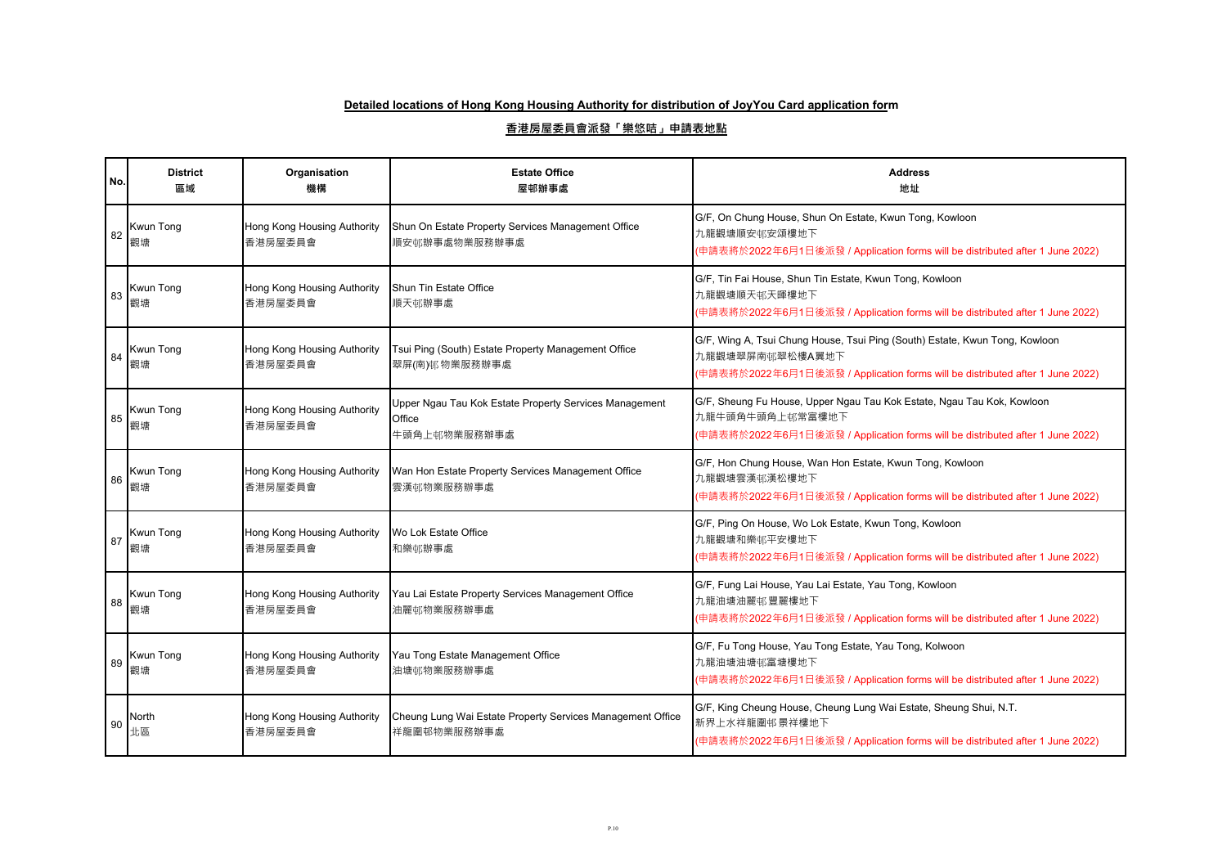| No. | <b>District</b><br>區域  | Organisation<br>機構                     | <b>Estate Office</b><br>屋邨辦事處                                                    | <b>Address</b><br>地址                                                                                                                                                            |
|-----|------------------------|----------------------------------------|----------------------------------------------------------------------------------|---------------------------------------------------------------------------------------------------------------------------------------------------------------------------------|
| 82  | Kwun Tong<br>觀塘        | Hong Kong Housing Authority<br>香港房屋委員會 | Shun On Estate Property Services Management Office<br>順安邨辦事處物業服務辦事處              | G/F, On Chung House, Shun On Estate, Kwun Tong, Kowloon<br>九龍觀塘順安邨安頌樓地下<br>(申請表將於2022年6月1日後派發 / Application forms will be distributed after 1 June 2022)                        |
| 83  | Kwun Tong<br>觀塘        | Hong Kong Housing Authority<br>香港房屋委員會 | Shun Tin Estate Office<br>順天邨辦事處                                                 | G/F, Tin Fai House, Shun Tin Estate, Kwun Tong, Kowloon<br>九龍觀塘順天邨天暉樓地下<br>(申請表將於2022年6月1日後派發 / Application forms will be distributed after 1 June 2022)                        |
| 84  | <b>Kwun Tong</b><br>觀塘 | Hong Kong Housing Authority<br>香港房屋委員會 | Tsui Ping (South) Estate Property Management Office<br>翠屏(南)邨物業服務辦事處             | G/F, Wing A, Tsui Chung House, Tsui Ping (South) Estate, Kwun Tong, Kowloon<br>九龍觀塘翠屏南邨翠松樓A翼地下<br>(申請表將於2022年6月1日後派發 / Application forms will be distributed after 1 June 2022) |
| 85  | Kwun Tong<br>觀塘        | Hong Kong Housing Authority<br>香港房屋委員會 | Upper Ngau Tau Kok Estate Property Services Management<br>Office<br>牛頭角上邨物業服務辦事處 | G/F, Sheung Fu House, Upper Ngau Tau Kok Estate, Ngau Tau Kok, Kowloon<br>九龍牛頭角牛頭角上邨常富樓地下<br>(申請表將於2022年6月1日後派發 / Application forms will be distributed after 1 June 2022)      |
| 86  | <b>Kwun Tong</b><br>觀塘 | Hong Kong Housing Authority<br>香港房屋委員會 | Wan Hon Estate Property Services Management Office<br>雲漢邨物業服務辦事處                 | G/F, Hon Chung House, Wan Hon Estate, Kwun Tong, Kowloon<br>九龍觀塘雲漢邨漢松樓地下<br>(申請表將於2022年6月1日後派發 / Application forms will be distributed after 1 June 2022)                       |
| 87  | Kwun Tong<br>觀塘        | Hong Kong Housing Authority<br>香港房屋委員會 | Wo Lok Estate Office<br>和樂邨辦事處                                                   | G/F, Ping On House, Wo Lok Estate, Kwun Tong, Kowloon<br>九龍觀塘和樂邨平安樓地下<br>(申請表將於2022年6月1日後派發 / Application forms will be distributed after 1 June 2022)                          |
| 88  | Kwun Tong<br>觀塘        | Hong Kong Housing Authority<br>香港房屋委員會 | Yau Lai Estate Property Services Management Office<br>油麗邨物業服務辦事處                 | G/F, Fung Lai House, Yau Lai Estate, Yau Tong, Kowloon<br>九龍油塘油麗邨豐麗樓地下<br>(申請表將於2022年6月1日後派發 / Application forms will be distributed after 1 June 2022)                         |
| 89  | Kwun Tong<br>觀塘        | Hong Kong Housing Authority<br>香港房屋委員會 | Yau Tong Estate Management Office<br>油塘邨物業服務辦事處                                  | G/F, Fu Tong House, Yau Tong Estate, Yau Tong, Kolwoon<br>九龍油塘油塘邨富塘樓地下<br>(申請表將於2022年6月1日後派發 / Application forms will be distributed after 1 June 2022)                         |
| 90  | North<br>北區            | Hong Kong Housing Authority<br>香港房屋委員會 | Cheung Lung Wai Estate Property Services Management Office<br>祥龍圍邨物業服務辦事處        | G/F, King Cheung House, Cheung Lung Wai Estate, Sheung Shui, N.T.<br>新界上水祥龍圍邨景祥樓地下<br>(申請表將於2022年6月1日後派發 / Application forms will be distributed after 1 June 2022)             |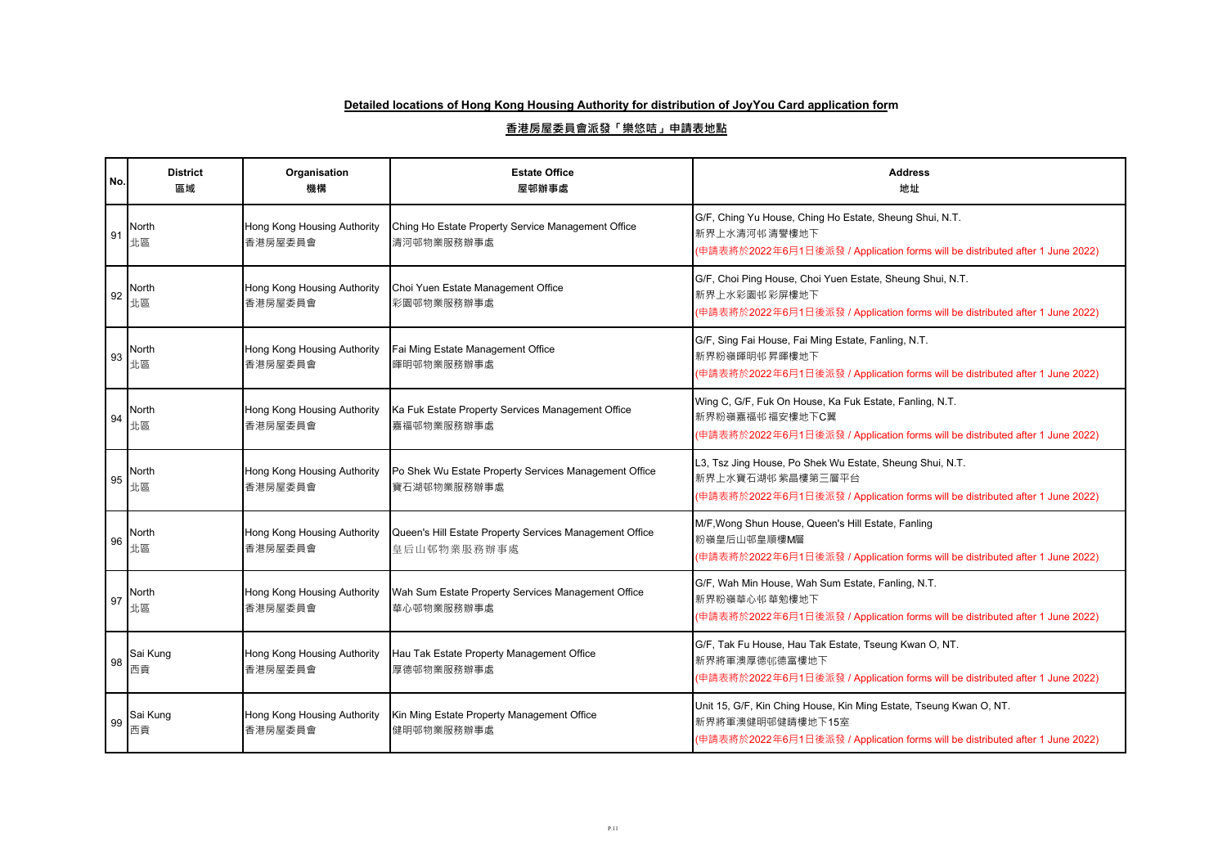| No. | <b>District</b><br>區域 | Organisation<br>機構                     | <b>Estate Office</b><br>屋邨辦事處                                          | <b>Address</b><br>地址                                                                                                                                                    |
|-----|-----------------------|----------------------------------------|------------------------------------------------------------------------|-------------------------------------------------------------------------------------------------------------------------------------------------------------------------|
| 91  | North<br>北區           | Hong Kong Housing Authority<br>香港房屋委員會 | Ching Ho Estate Property Service Management Office<br>清河邨物業服務辦事處       | G/F, Ching Yu House, Ching Ho Estate, Sheung Shui, N.T.<br>新界上水清河邨清譽樓地下<br>(申請表將於2022年6月1日後派發 / Application forms will be distributed after 1 June 2022)                |
| 92  | North<br>北區           | Hong Kong Housing Authority<br>香港房屋委員會 | Choi Yuen Estate Management Office<br>彩園邨物業服務辦事處                       | G/F, Choi Ping House, Choi Yuen Estate, Sheung Shui, N.T.<br>新界上水彩園邨彩屏樓地下<br>(申請表將於2022年6月1日後派發 / Application forms will be distributed after 1 June 2022)              |
| 93  | North<br>北區           | Hong Kong Housing Authority<br>香港房屋委員會 | Fai Ming Estate Management Office<br>暉明邨物業服務辦事處                        | G/F, Sing Fai House, Fai Ming Estate, Fanling, N.T.<br>新界粉嶺暉明邨昇暉樓地下<br>(申請表將於2022年6月1日後派發 / Application forms will be distributed after 1 June 2022)                    |
| 94  | North<br>北區           | Hong Kong Housing Authority<br>香港房屋委員會 | Ka Fuk Estate Property Services Management Office<br>嘉福邨物業服務辦事處        | Wing C, G/F, Fuk On House, Ka Fuk Estate, Fanling, N.T.<br>新界粉嶺嘉福邨福安樓地下C翼<br>(申請表將於2022年6月1日後派發 / Application forms will be distributed after 1 June 2022)              |
| 95  | North<br>北區           | Hong Kong Housing Authority<br>香港房屋委員會 | Po Shek Wu Estate Property Services Management Office<br>寶石湖邨物業服務辦事處   | L3, Tsz Jing House, Po Shek Wu Estate, Sheung Shui, N.T.<br>新界上水寶石湖邨紫晶樓第三層平台<br>(申請表將於2022年6月1日後派發 / Application forms will be distributed after 1 June 2022)           |
| 96  | North<br>北區           | Hong Kong Housing Authority<br>香港房屋委員會 | Queen's Hill Estate Property Services Management Office<br>皇后山邨物業服務辦事處 | M/F, Wong Shun House, Queen's Hill Estate, Fanling<br>粉嶺皇后山邨皇順樓M層<br>(申請表將於2022年6月1日後派發 / Application forms will be distributed after 1 June 2022)                      |
| 97  | North<br>北區           | Hong Kong Housing Authority<br>香港房屋委員會 | Wah Sum Estate Property Services Management Office<br>華心邨物業服務辦事處       | G/F, Wah Min House, Wah Sum Estate, Fanling, N.T.<br>新界粉嶺華心邨華勉樓地下<br>(申請表將於2022年6月1日後派發 / Application forms will be distributed after 1 June 2022)                      |
| 98  | Sai Kung<br>西貢        | Hong Kong Housing Authority<br>香港房屋委員會 | Hau Tak Estate Property Management Office<br>厚德邨物業服務辦事處                | G/F, Tak Fu House, Hau Tak Estate, Tseung Kwan O, NT.<br>新界將軍澳厚德邨德富樓地下<br>(申請表將於2022年6月1日後派發 / Application forms will be distributed after 1 June 2022)                 |
| 99  | Sai Kung<br>西貢        | Hong Kong Housing Authority<br>香港房屋委員會 | Kin Ming Estate Property Management Office<br>健明邨物業服務辦事處               | Unit 15, G/F, Kin Ching House, Kin Ming Estate, Tseung Kwan O, NT.<br>新界將軍澳健明邨健晴樓地下15室<br>(申請表將於2022年6月1日後派發 / Application forms will be distributed after 1 June 2022) |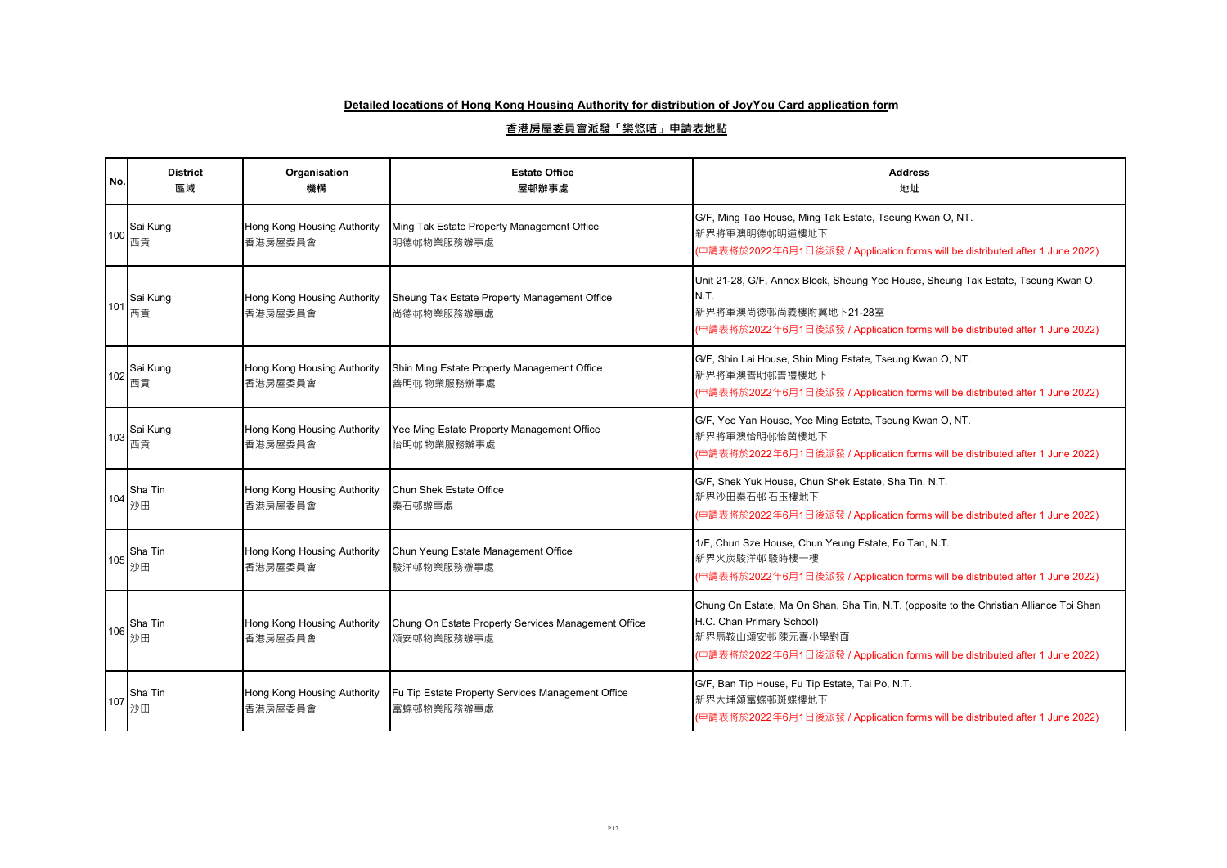| No. | <b>District</b><br>區域 | Organisation<br>機構                     | <b>Estate Office</b><br>屋邨辦事處                                     | <b>Address</b><br>地址                                                                                                                                                                                                     |
|-----|-----------------------|----------------------------------------|-------------------------------------------------------------------|--------------------------------------------------------------------------------------------------------------------------------------------------------------------------------------------------------------------------|
| 100 | Sai Kung<br>西貢        | Hong Kong Housing Authority<br>香港房屋委員會 | Ming Tak Estate Property Management Office<br>明德邨物業服務辦事處          | G/F, Ming Tao House, Ming Tak Estate, Tseung Kwan O, NT.<br>新界將軍澳明德邨明道樓地下<br>(申請表將於2022年6月1日後派發 / Application forms will be distributed after 1 June 2022)                                                               |
| 101 | Sai Kung<br>西貢        | Hong Kong Housing Authority<br>香港房屋委員會 | Sheung Tak Estate Property Management Office<br>尚德邨物業服務辦事處        | Unit 21-28, G/F, Annex Block, Sheung Yee House, Sheung Tak Estate, Tseung Kwan O,<br>N.T.<br>新界將軍澳尚德邨尚義樓附翼地下21-28室<br>(申請表將於2022年6月1日後派發 / Application forms will be distributed after 1 June 2022)                      |
| 102 | Sai Kung<br>西貢        | Hong Kong Housing Authority<br>香港房屋委員會 | Shin Ming Estate Property Management Office<br>善明邨物業服務辦事處         | G/F, Shin Lai House, Shin Ming Estate, Tseung Kwan O, NT.<br>新界將軍澳善明邨善禮樓地下<br>(申請表將於2022年6月1日後派發 / Application forms will be distributed after 1 June 2022)                                                              |
| 103 | Sai Kung<br>西貢        | Hong Kong Housing Authority<br>香港房屋委員會 | Yee Ming Estate Property Management Office<br>怡明邨物業服務辦事處          | G/F, Yee Yan House, Yee Ming Estate, Tseung Kwan O, NT.<br>新界將軍澳怡明邨怡茵樓地下<br>(申請表將於2022年6月1日後派發 / Application forms will be distributed after 1 June 2022)                                                                |
| 104 | Sha Tin<br>沙田         | Hong Kong Housing Authority<br>香港房屋委員會 | Chun Shek Estate Office<br>秦石邨辦事處                                 | G/F, Shek Yuk House, Chun Shek Estate, Sha Tin, N.T.<br>新界沙田秦石邨石玉樓地下<br>(申請表將於2022年6月1日後派發 / Application forms will be distributed after 1 June 2022)                                                                    |
| 105 | Sha Tin<br>沙田         | Hong Kong Housing Authority<br>香港房屋委員會 | Chun Yeung Estate Management Office<br>駿洋邨物業服務辦事處                 | 1/F, Chun Sze House, Chun Yeung Estate, Fo Tan, N.T.<br>新界火炭駿洋邨駿時樓一樓<br>(申請表將於2022年6月1日後派發 / Application forms will be distributed after 1 June 2022)                                                                    |
| 106 | Sha Tin<br>沙田         | Hong Kong Housing Authority<br>香港房屋委員會 | Chung On Estate Property Services Management Office<br>頌安邨物業服務辦事處 | Chung On Estate, Ma On Shan, Sha Tin, N.T. (opposite to the Christian Alliance Toi Shan<br>H.C. Chan Primary School)<br>新界馬鞍山頌安邨陳元喜小學對面<br>(申請表將於2022年6月1日後派發 / Application forms will be distributed after 1 June 2022) |
| 107 | Sha Tin<br>沙田         | Hong Kong Housing Authority<br>香港房屋委員會 | Fu Tip Estate Property Services Management Office<br>富蝶邨物業服務辦事處   | G/F, Ban Tip House, Fu Tip Estate, Tai Po, N.T.<br>新界大埔頌富蝶邨斑蝶樓地下<br>(申請表將於2022年6月1日後派發 / Application forms will be distributed after 1 June 2022)                                                                        |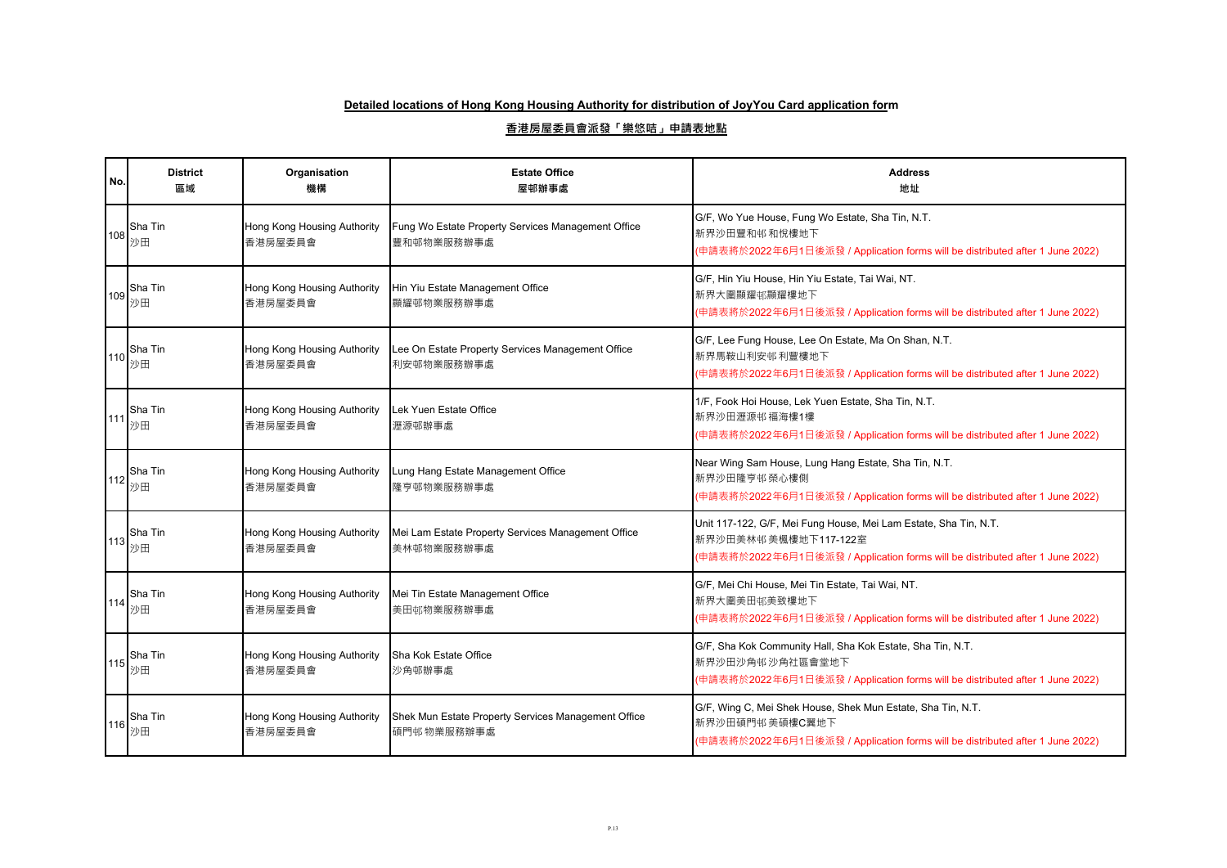| No. | <b>District</b><br>區域 | Organisation<br>機構                     | <b>Estate Office</b><br>屋邨辦事處                                     | <b>Address</b><br>地址                                                                                                                                                      |
|-----|-----------------------|----------------------------------------|-------------------------------------------------------------------|---------------------------------------------------------------------------------------------------------------------------------------------------------------------------|
| 108 | Sha Tin<br>沙田         | Hong Kong Housing Authority<br>香港房屋委員會 | Fung Wo Estate Property Services Management Office<br>豐和邨物業服務辦事處  | G/F, Wo Yue House, Fung Wo Estate, Sha Tin, N.T.<br>新界沙田豐和邨和悅樓地下<br>(申請表將於2022年6月1日後派發 / Application forms will be distributed after 1 June 2022)                         |
| 109 | Sha Tin<br>沙田         | Hong Kong Housing Authority<br>香港房屋委員會 | Hin Yiu Estate Management Office<br>顯耀邨物業服務辦事處                    | G/F, Hin Yiu House, Hin Yiu Estate, Tai Wai, NT.<br>新界大圍顯耀邨顯耀樓地下<br>(申請表將於2022年6月1日後派發 / Application forms will be distributed after 1 June 2022)                         |
| 110 | Sha Tin<br>沙田         | Hong Kong Housing Authority<br>香港房屋委員會 | Lee On Estate Property Services Management Office<br>利安邨物業服務辦事處   | G/F, Lee Fung House, Lee On Estate, Ma On Shan, N.T.<br>新界馬鞍山利安邨利豐樓地下<br>(申請表將於2022年6月1日後派發 / Application forms will be distributed after 1 June 2022)                    |
| 111 | Sha Tin<br>沙田         | Hong Kong Housing Authority<br>香港房屋委員會 | Lek Yuen Estate Office<br>瀝源邨辦事處                                  | 1/F, Fook Hoi House, Lek Yuen Estate, Sha Tin, N.T.<br>新界沙田瀝源邨福海樓1樓<br>(申請表將於2022年6月1日後派發 / Application forms will be distributed after 1 June 2022)                      |
| 112 | Sha Tin<br>沙田         | Hong Kong Housing Authority<br>香港房屋委員會 | Lung Hang Estate Management Office<br>隆亨邨物業服務辦事處                  | Near Wing Sam House, Lung Hang Estate, Sha Tin, N.T.<br>新界沙田隆亨邨榮心樓側<br>(申請表將於2022年6月1日後派發 / Application forms will be distributed after 1 June 2022)                      |
| 113 | Sha Tin<br>沙田         | Hong Kong Housing Authority<br>香港房屋委員會 | Mei Lam Estate Property Services Management Office<br>美林邨物業服務辦事處  | Unit 117-122, G/F, Mei Fung House, Mei Lam Estate, Sha Tin, N.T.<br>新界沙田美林邨美楓樓地下117-122室<br>(申請表將於2022年6月1日後派發 / Application forms will be distributed after 1 June 2022) |
| 114 | Sha Tin<br>沙田         | Hong Kong Housing Authority<br>香港房屋委員會 | Mei Tin Estate Management Office<br>美田邨物業服務辦事處                    | G/F, Mei Chi House, Mei Tin Estate, Tai Wai, NT.<br>新界大圍美田邨美致樓地下<br>(申請表將於2022年6月1日後派發 / Application forms will be distributed after 1 June 2022)                         |
|     | Sha Tin<br>115 沙田     | Hong Kong Housing Authority<br>香港房屋委員會 | Sha Kok Estate Office<br>沙角邨辦事處                                   | G/F, Sha Kok Community Hall, Sha Kok Estate, Sha Tin, N.T.<br>新界沙田沙角邨沙角社區會堂地下<br>(申請表將於2022年6月1日後派發 / Application forms will be distributed after 1 June 2022)            |
| 116 | Sha Tin<br>沙田         | Hong Kong Housing Authority<br>香港房屋委員會 | Shek Mun Estate Property Services Management Office<br>碩門邨物業服務辦事處 | G/F, Wing C, Mei Shek House, Shek Mun Estate, Sha Tin, N.T.<br>新界沙田碩門邨美碩樓C翼地下<br>(申請表將於2022年6月1日後派發 / Application forms will be distributed after 1 June 2022)            |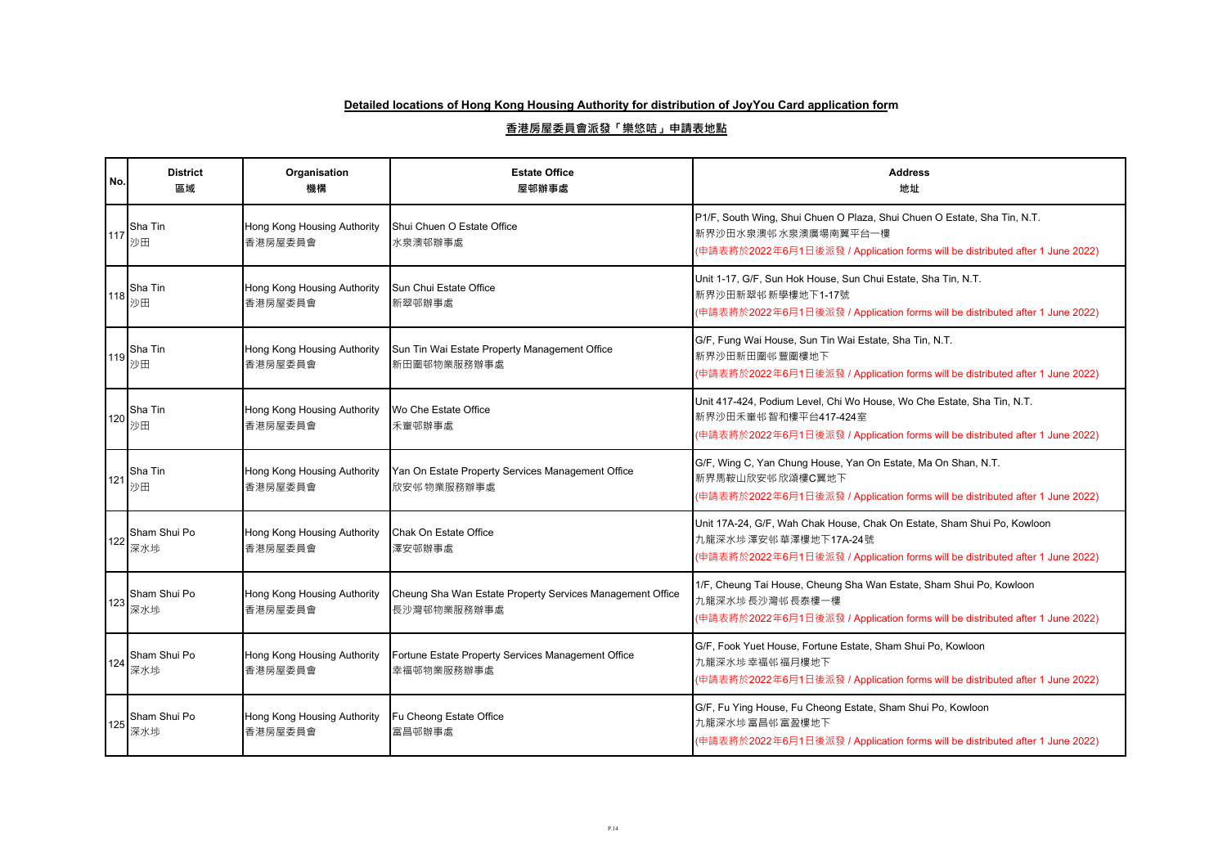| No.   | <b>District</b><br>區域 | Organisation<br>機構                     | <b>Estate Office</b><br>屋邨辦事處                                            | <b>Address</b><br>地址                                                                                                                                                             |
|-------|-----------------------|----------------------------------------|--------------------------------------------------------------------------|----------------------------------------------------------------------------------------------------------------------------------------------------------------------------------|
| 117   | Sha Tin<br>沙田         | Hong Kong Housing Authority<br>香港房屋委員會 | Shui Chuen O Estate Office<br>水泉澳邨辦事處                                    | P1/F, South Wing, Shui Chuen O Plaza, Shui Chuen O Estate, Sha Tin, N.T.<br>新界沙田水泉澳邨水泉澳廣場南翼平台一樓<br>(申請表將於2022年6月1日後派發 / Application forms will be distributed after 1 June 2022) |
| 118   | Sha Tin<br>沙田         | Hong Kong Housing Authority<br>香港房屋委員會 | Sun Chui Estate Office<br>新翠邨辦事處                                         | Unit 1-17, G/F, Sun Hok House, Sun Chui Estate, Sha Tin, N.T.<br>新界沙田新翠邨新學樓地下1-17號<br>(申請表將於2022年6月1日後派發 / Application forms will be distributed after 1 June 2022)              |
| 119   | Sha Tin<br>沙田         | Hong Kong Housing Authority<br>香港房屋委員會 | Sun Tin Wai Estate Property Management Office<br>新田圍邨物業服務辦事處             | G/F, Fung Wai House, Sun Tin Wai Estate, Sha Tin, N.T.<br>新界沙田新田圍邨豐圍樓地下<br>(申請表將於2022年6月1日後派發 / Application forms will be distributed after 1 June 2022)                         |
| 120   | Sha Tin<br>沙田         | Hong Kong Housing Authority<br>香港房屋委員會 | Wo Che Estate Office<br>禾輋邨辦事處                                           | Unit 417-424, Podium Level, Chi Wo House, Wo Che Estate, Sha Tin, N.T.<br>新界沙田禾輋邨智和樓平台417-424室<br>(申請表將於2022年6月1日後派發 / Application forms will be distributed after 1 June 2022)  |
| 121   | Sha Tin<br>沙田         | Hong Kong Housing Authority<br>香港房屋委員會 | Yan On Estate Property Services Management Office<br>欣安邨物業服務辦事處          | G/F, Wing C, Yan Chung House, Yan On Estate, Ma On Shan, N.T.<br>新界馬鞍山欣安邨欣頌樓C翼地下<br>(申請表將於2022年6月1日後派發 / Application forms will be distributed after 1 June 2022)                |
| $122$ | Sham Shui Po<br>深水埗   | Hong Kong Housing Authority<br>香港房屋委員會 | Chak On Estate Office<br>澤安邨辦事處                                          | Unit 17A-24, G/F, Wah Chak House, Chak On Estate, Sham Shui Po, Kowloon<br>九龍深水埗澤安邨華澤樓地下17A-24號<br>(申請表將於2022年6月1日後派發 / Application forms will be distributed after 1 June 2022) |
| 123   | Sham Shui Po<br>深水埗   | Hong Kong Housing Authority<br>香港房屋委員會 | Cheung Sha Wan Estate Property Services Management Office<br>長沙灣邨物業服務辦事處 | 1/F, Cheung Tai House, Cheung Sha Wan Estate, Sham Shui Po, Kowloon<br>九龍深水埗長沙灣邨長泰樓一樓<br>(申請表將於2022年6月1日後派發 / Application forms will be distributed after 1 June 2022)           |
| 124   | Sham Shui Po<br>深水埗   | Hong Kong Housing Authority<br>香港房屋委員會 | Fortune Estate Property Services Management Office<br>幸福邨物業服務辦事處         | G/F, Fook Yuet House, Fortune Estate, Sham Shui Po, Kowloon<br>九龍深水埗幸福邨福月樓地下<br>(申請表將於2022年6月1日後派發 / Application forms will be distributed after 1 June 2022)                    |
| 125   | Sham Shui Po<br>深水埗   | Hong Kong Housing Authority<br>香港房屋委員會 | Fu Cheong Estate Office<br>富昌邨辦事處                                        | G/F, Fu Ying House, Fu Cheong Estate, Sham Shui Po, Kowloon<br>九龍深水埗富昌邨富盈樓地下<br>(申請表將於2022年6月1日後派發 / Application forms will be distributed after 1 June 2022)                    |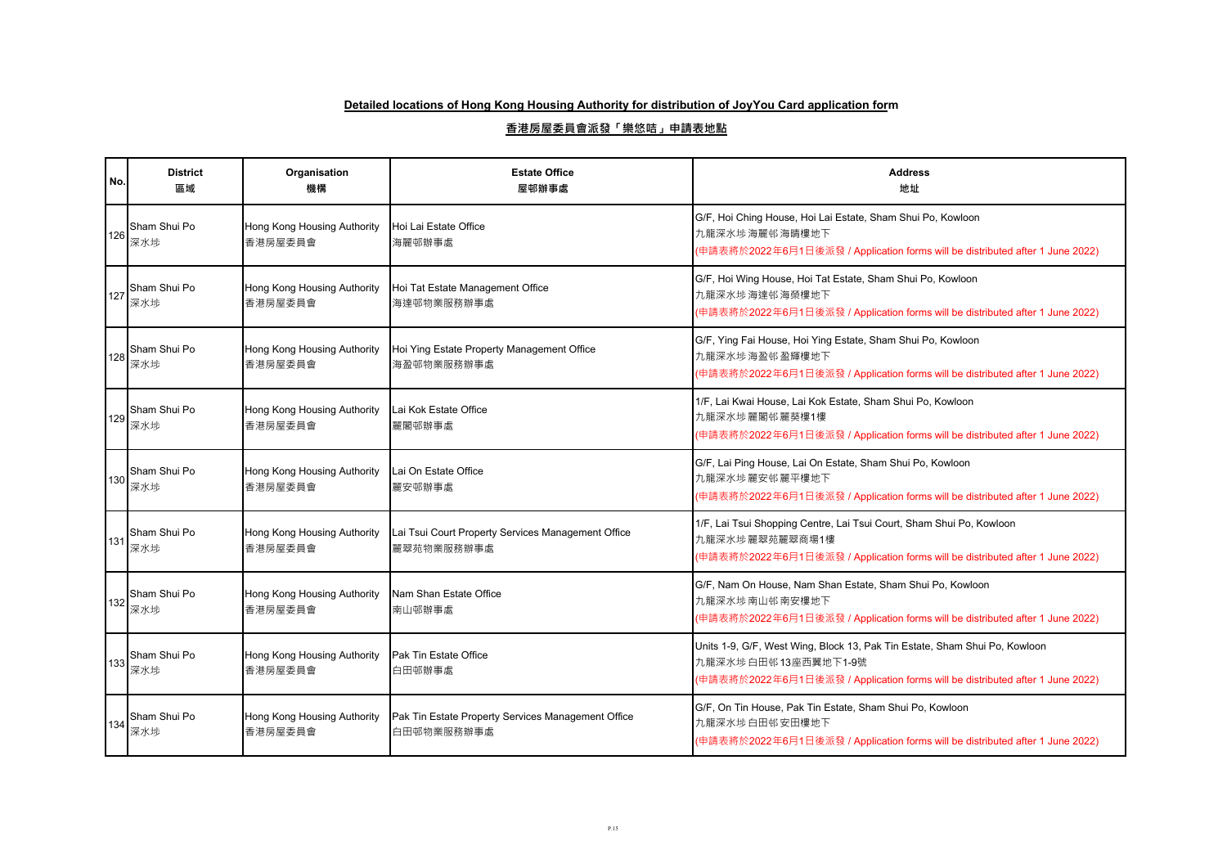| No. | <b>District</b><br>區域 | Organisation<br>機構                     | <b>Estate Office</b><br>屋邨辦事處                                    | <b>Address</b><br>地址                                                                                                                                                               |
|-----|-----------------------|----------------------------------------|------------------------------------------------------------------|------------------------------------------------------------------------------------------------------------------------------------------------------------------------------------|
| 126 | Sham Shui Po<br>深水埗   | Hong Kong Housing Authority<br>香港房屋委員會 | Hoi Lai Estate Office<br>海麗邨辦事處                                  | G/F, Hoi Ching House, Hoi Lai Estate, Sham Shui Po, Kowloon<br>九龍深水埗海麗邨海睛樓地下<br>(申請表將於2022年6月1日後派發 / Application forms will be distributed after 1 June 2022)                      |
| 127 | Sham Shui Po<br>深水埗   | Hong Kong Housing Authority<br>香港房屋委員會 | Hoi Tat Estate Management Office<br>海達邨物業服務辦事處                   | G/F, Hoi Wing House, Hoi Tat Estate, Sham Shui Po, Kowloon<br>九龍深水埗海達邨海榮樓地下<br>(申請表將於2022年6月1日後派發 / Application forms will be distributed after 1 June 2022)                       |
| 128 | Sham Shui Po<br>深水埗   | Hong Kong Housing Authority<br>香港房屋委員會 | Hoi Ying Estate Property Management Office<br>海盈邨物業服務辦事處         | G/F, Ying Fai House, Hoi Ying Estate, Sham Shui Po, Kowloon<br>九龍深水埗海盈邨盈輝樓地下<br>(申請表將於2022年6月1日後派發 / Application forms will be distributed after 1 June 2022)                      |
| 129 | Sham Shui Po<br>深水埗   | Hong Kong Housing Authority<br>香港房屋委員會 | Lai Kok Estate Office<br>麗閣邨辦事處                                  | 1/F, Lai Kwai House, Lai Kok Estate, Sham Shui Po, Kowloon<br>九龍深水埗 麗閣邨 麗葵樓1樓<br>(申請表將於2022年6月1日後派發 / Application forms will be distributed after 1 June 2022)                     |
| 130 | Sham Shui Po<br>深水埗   | Hong Kong Housing Authority<br>香港房屋委員會 | Lai On Estate Office<br>麗安邨辦事處                                   | G/F, Lai Ping House, Lai On Estate, Sham Shui Po, Kowloon<br>九龍深水埗麗安邨麗平樓地下<br>(申請表將於2022年6月1日後派發 / Application forms will be distributed after 1 June 2022)                        |
| 131 | Sham Shui Po<br>深水埗   | Hong Kong Housing Authority<br>香港房屋委員會 | Lai Tsui Court Property Services Management Office<br>麗翠苑物業服務辦事處 | 1/F, Lai Tsui Shopping Centre, Lai Tsui Court, Sham Shui Po, Kowloon<br>九龍深水埗麗翠苑麗翠商場1樓<br>(申請表將於2022年6月1日後派發 / Application forms will be distributed after 1 June 2022)            |
| 132 | Sham Shui Po<br>深水埗   | Hong Kong Housing Authority<br>香港房屋委員會 | Nam Shan Estate Office<br>南山邨辦事處                                 | G/F, Nam On House, Nam Shan Estate, Sham Shui Po, Kowloon<br>九龍深水埗南山邨南安樓地下<br>(申請表將於2022年6月1日後派發 / Application forms will be distributed after 1 June 2022)                        |
| 133 | Sham Shui Po<br>深水埗   | Hong Kong Housing Authority<br>香港房屋委員會 | Pak Tin Estate Office<br>白田邨辦事處                                  | Units 1-9, G/F, West Wing, Block 13, Pak Tin Estate, Sham Shui Po, Kowloon<br>九龍深水埗白田邨13座西翼地下1-9號<br>(申請表將於2022年6月1日後派發 / Application forms will be distributed after 1 June 2022) |
| 134 | Sham Shui Po<br>深水埗   | Hong Kong Housing Authority<br>香港房屋委員會 | Pak Tin Estate Property Services Management Office<br>白田邨物業服務辦事處 | G/F, On Tin House, Pak Tin Estate, Sham Shui Po, Kowloon<br>九龍深水埗白田邨安田樓地下<br>(申請表將於2022年6月1日後派發 / Application forms will be distributed after 1 June 2022)                         |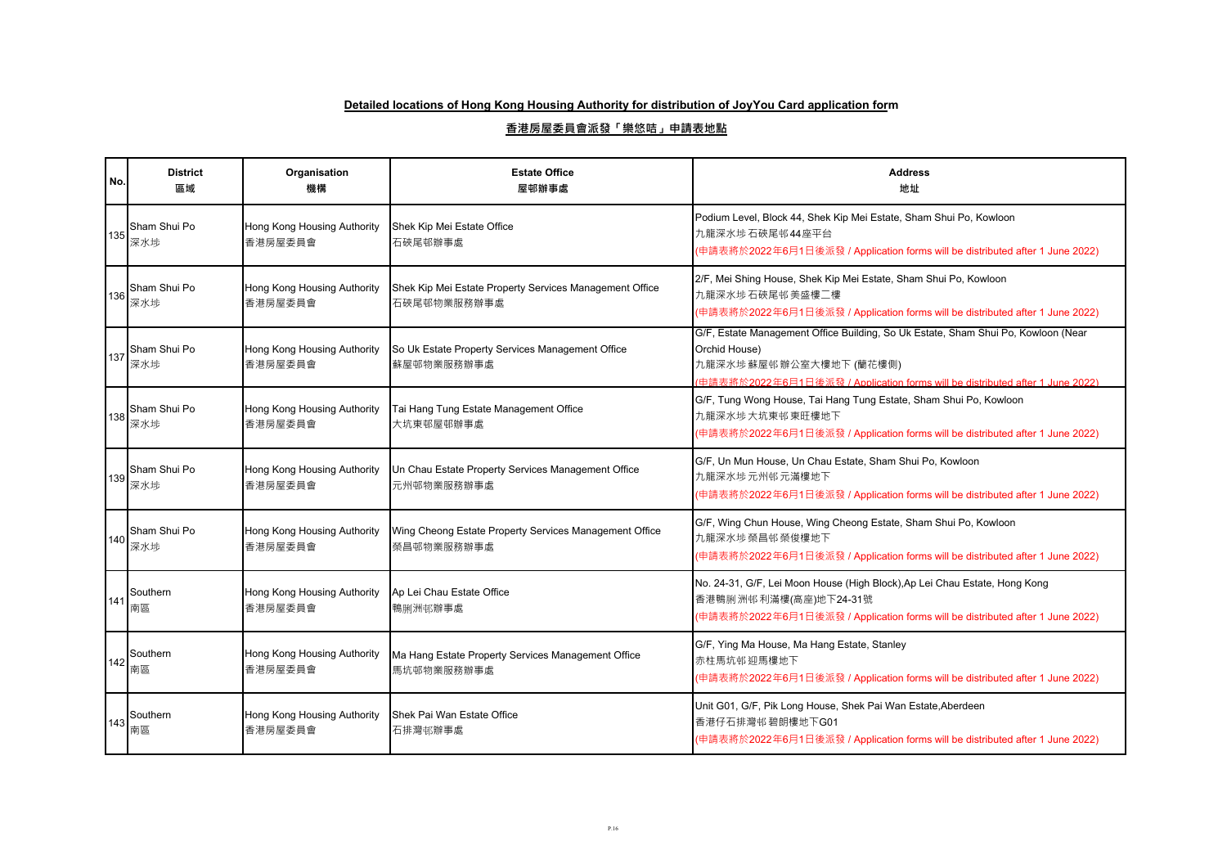| No. | <b>District</b><br>區域 | Organisation<br>機構                     | <b>Estate Office</b><br>屋邨辦事處                                          | <b>Address</b><br>地址                                                                                                                                                                                         |
|-----|-----------------------|----------------------------------------|------------------------------------------------------------------------|--------------------------------------------------------------------------------------------------------------------------------------------------------------------------------------------------------------|
| 135 | Sham Shui Po<br>深水埗   | Hong Kong Housing Authority<br>香港房屋委員會 | Shek Kip Mei Estate Office<br>石硤尾邨辦事處                                  | Podium Level, Block 44, Shek Kip Mei Estate, Sham Shui Po, Kowloon<br>九龍深水埗石硤尾邨44座平台<br>(申請表將於2022年6月1日後派發 / Application forms will be distributed after 1 June 2022)                                        |
| 136 | Sham Shui Po<br>深水埗   | Hong Kong Housing Authority<br>香港房屋委員會 | Shek Kip Mei Estate Property Services Management Office<br>石硤尾邨物業服務辦事處 | 2/F, Mei Shing House, Shek Kip Mei Estate, Sham Shui Po, Kowloon<br>九龍深水埗石硤尾邨美盛樓二樓<br>(申請表將於2022年6月1日後派發 / Application forms will be distributed after 1 June 2022)                                          |
| 137 | Sham Shui Po<br>深水埗   | Hong Kong Housing Authority<br>香港房屋委員會 | So Uk Estate Property Services Management Office<br>蘇屋邨物業服務辦事處         | G/F, Estate Management Office Building, So Uk Estate, Sham Shui Po, Kowloon (Near<br>Orchid House)<br>九龍深水埗蘇屋邨辦公室大樓地下 (蘭花樓側)<br>中請表將於2022年6月1日後派發 / Application forms will be distributed after 1 June 2022) |
| 138 | Sham Shui Po<br>深水埗   | Hong Kong Housing Authority<br>香港房屋委員會 | Tai Hang Tung Estate Management Office<br>大坑東邨屋邨辦事處                    | G/F, Tung Wong House, Tai Hang Tung Estate, Sham Shui Po, Kowloon<br>九龍深水埗大坑東邨東旺樓地下<br>(申請表將於2022年6月1日後派發 / Application forms will be distributed after 1 June 2022)                                         |
| 139 | Sham Shui Po<br>深水埗   | Hong Kong Housing Authority<br>香港房屋委員會 | Un Chau Estate Property Services Management Office<br>元州邨物業服務辦事處       | G/F, Un Mun House, Un Chau Estate, Sham Shui Po, Kowloon<br>九龍深水埗 元州邨 元滿樓地下<br>(申請表將於2022年6月1日後派發 / Application forms will be distributed after 1 June 2022)                                                 |
| 140 | Sham Shui Po<br>深水埗   | Hong Kong Housing Authority<br>香港房屋委員會 | Wing Cheong Estate Property Services Management Office<br>榮昌邨物業服務辦事處   | G/F, Wing Chun House, Wing Cheong Estate, Sham Shui Po, Kowloon<br>九龍深水埗榮昌邨榮俊樓地下<br>(申請表將於2022年6月1日後派發 / Application forms will be distributed after 1 June 2022)                                            |
| 141 | Southern<br>南區        | Hong Kong Housing Authority<br>香港房屋委員會 | Ap Lei Chau Estate Office<br>鴨脷洲邨辦事處                                   | No. 24-31, G/F, Lei Moon House (High Block), Ap Lei Chau Estate, Hong Kong<br>香港鴨脷洲邨利滿樓(高座)地下24-31號<br>(申請表將於2022年6月1日後派發 / Application forms will be distributed after 1 June 2022)                         |
| 142 | Southern<br>南區        | Hong Kong Housing Authority<br>香港房屋委員會 | Ma Hang Estate Property Services Management Office<br>馬坑邨物業服務辦事處       | G/F, Ying Ma House, Ma Hang Estate, Stanley<br>赤柱馬坑邨迎馬樓地下<br>(申請表將於2022年6月1日後派發 / Application forms will be distributed after 1 June 2022)                                                                   |
| 143 | Southern<br>南區        | Hong Kong Housing Authority<br>香港房屋委員會 | Shek Pai Wan Estate Office<br>石排灣邨辦事處                                  | Unit G01, G/F, Pik Long House, Shek Pai Wan Estate, Aberdeen<br>香港仔石排灣邨碧朗樓地下G01<br>(申請表將於2022年6月1日後派發 / Application forms will be distributed after 1 June 2022)                                             |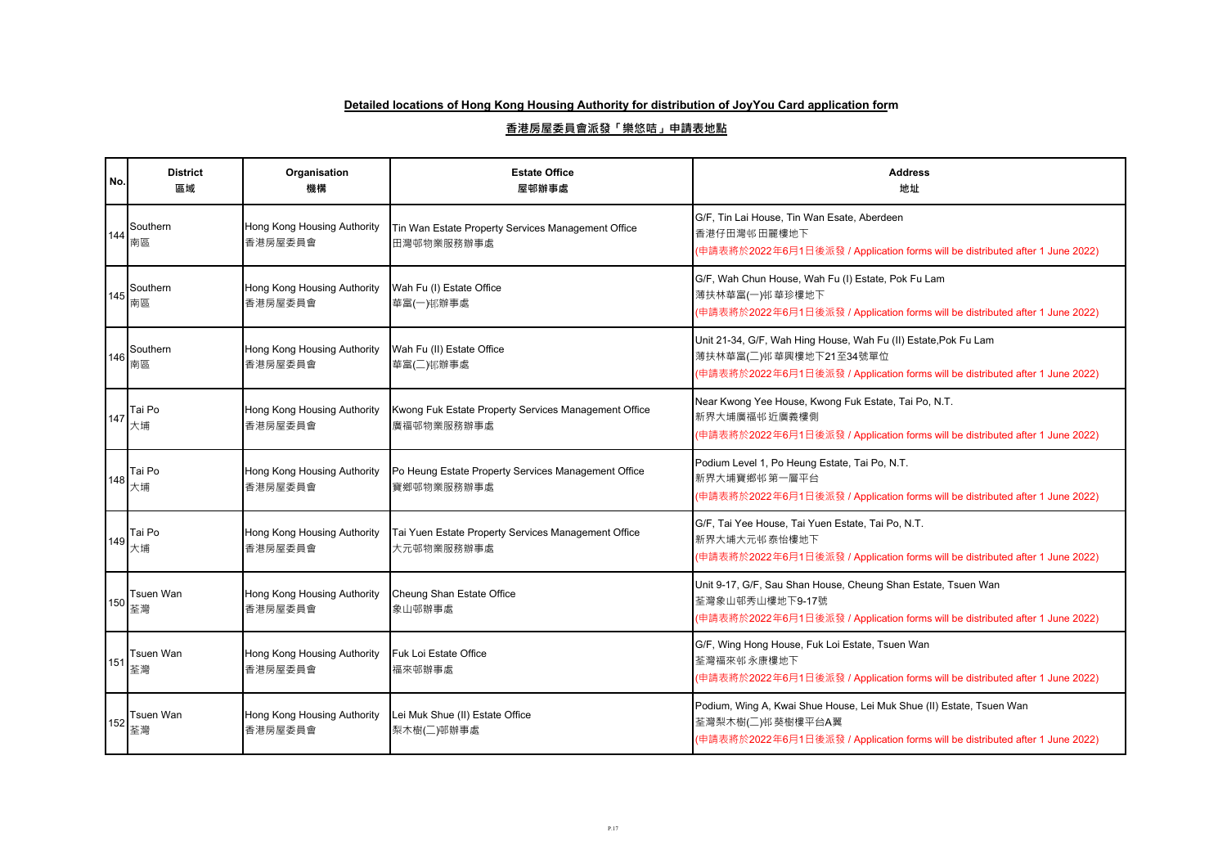| No. | <b>District</b><br>區域 | Organisation<br>機構                     | <b>Estate Office</b><br>屋邨辦事處                                      | <b>Address</b><br>地址                                                                                                                                                       |
|-----|-----------------------|----------------------------------------|--------------------------------------------------------------------|----------------------------------------------------------------------------------------------------------------------------------------------------------------------------|
| 144 | Southern<br>南區        | Hong Kong Housing Authority<br>香港房屋委員會 | Tin Wan Estate Property Services Management Office<br>田灣邨物業服務辦事處   | G/F, Tin Lai House, Tin Wan Esate, Aberdeen<br>香港仔田灣邨田麗樓地下<br>(申請表將於2022年6月1日後派發 / Application forms will be distributed after 1 June 2022)                                |
| 145 | Southern<br>南區        | Hong Kong Housing Authority<br>香港房屋委員會 | Wah Fu (I) Estate Office<br>華富(一)邨辦事處                              | G/F, Wah Chun House, Wah Fu (I) Estate, Pok Fu Lam<br>薄扶林華富(一)邨華珍樓地下<br>(申請表將於2022年6月1日後派發 / Application forms will be distributed after 1 June 2022)                      |
| 146 | Southern<br>南區        | Hong Kong Housing Authority<br>香港房屋委員會 | Wah Fu (II) Estate Office<br>華富(二)邨辦事處                             | Unit 21-34, G/F, Wah Hing House, Wah Fu (II) Estate, Pok Fu Lam<br>薄扶林華富(二)邨華興樓地下21至34號單位<br>(申請表將於2022年6月1日後派發 / Application forms will be distributed after 1 June 2022) |
| 147 | Tai Po<br>大埔          | Hong Kong Housing Authority<br>香港房屋委員會 | Kwong Fuk Estate Property Services Management Office<br>廣福邨物業服務辦事處 | Near Kwong Yee House, Kwong Fuk Estate, Tai Po, N.T.<br>新界大埔廣福邨近廣義樓側<br>(申請表將於2022年6月1日後派發 / Application forms will be distributed after 1 June 2022)                      |
| 148 | Tai Po<br>大埔          | Hong Kong Housing Authority<br>香港房屋委員會 | Po Heung Estate Property Services Management Office<br>寶鄉邨物業服務辦事處  | Podium Level 1, Po Heung Estate, Tai Po, N.T.<br>新界大埔寶鄉邨第一層平台<br>(申請表將於2022年6月1日後派發 / Application forms will be distributed after 1 June 2022)                             |
| 149 | Tai Po<br>大埔          | Hong Kong Housing Authority<br>香港房屋委員會 | Tai Yuen Estate Property Services Management Office<br>大元邨物業服務辦事處  | G/F, Tai Yee House, Tai Yuen Estate, Tai Po, N.T.<br>新界大埔大元邨泰怡樓地下<br>(申請表將於2022年6月1日後派發 / Application forms will be distributed after 1 June 2022)                         |
| 150 | Tsuen Wan<br>荃灣       | Hong Kong Housing Authority<br>香港房屋委員會 | Cheung Shan Estate Office<br>象山邨辦事處                                | Unit 9-17, G/F, Sau Shan House, Cheung Shan Estate, Tsuen Wan<br>荃灣象山邨秀山樓地下9-17號<br>(申請表將於2022年6月1日後派發 / Application forms will be distributed after 1 June 2022)          |
| 151 | Tsuen Wan<br>荃灣       | Hong Kong Housing Authority<br>香港房屋委員會 | Fuk Loi Estate Office<br>福來邨辦事處                                    | G/F, Wing Hong House, Fuk Loi Estate, Tsuen Wan<br>荃灣福來邨永康樓地下<br>(申請表將於2022年6月1日後派發 / Application forms will be distributed after 1 June 2022)                             |
| 152 | Tsuen Wan<br>荃灣       | Hong Kong Housing Authority<br>香港房屋委員會 | Lei Muk Shue (II) Estate Office<br>梨木樹(二)邨辦事處                      | Podium, Wing A, Kwai Shue House, Lei Muk Shue (II) Estate, Tsuen Wan<br>荃灣梨木樹(二)邨 葵樹樓平台A翼<br>(申請表將於2022年6月1日後派發 / Application forms will be distributed after 1 June 2022) |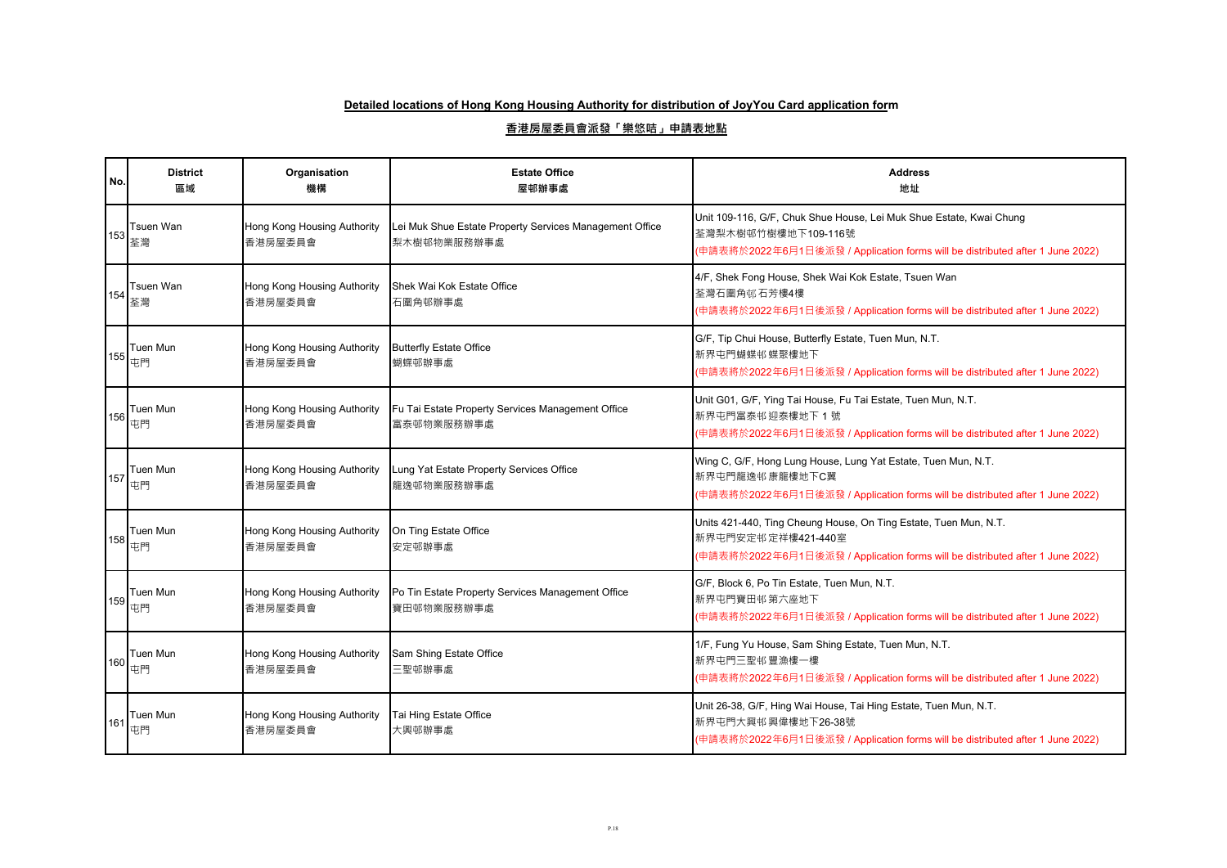| No. | <b>District</b><br>區域                 | Organisation<br>機構                     | <b>Estate Office</b><br>屋邨辦事處                                          | <b>Address</b><br>地址                                                                                                                                                        |
|-----|---------------------------------------|----------------------------------------|------------------------------------------------------------------------|-----------------------------------------------------------------------------------------------------------------------------------------------------------------------------|
|     | Tsuen Wan<br>  <sup>153</sup>  <br>荃灣 | Hong Kong Housing Authority<br>香港房屋委員會 | Lei Muk Shue Estate Property Services Management Office<br>梨木樹邨物業服務辦事處 | Unit 109-116, G/F, Chuk Shue House, Lei Muk Shue Estate, Kwai Chung<br>荃灣梨木樹邨竹樹樓地下109-116號<br>(申請表將於2022年6月1日後派發 / Application forms will be distributed after 1 June 2022) |
| 154 | Tsuen Wan<br>荃灣                       | Hong Kong Housing Authority<br>香港房屋委員會 | Shek Wai Kok Estate Office<br>石圍角邨辦事處                                  | 4/F, Shek Fong House, Shek Wai Kok Estate, Tsuen Wan<br>荃灣石圍角邨石芳樓4樓<br>(申請表將於2022年6月1日後派發 / Application forms will be distributed after 1 June 2022)                        |
| 155 | Tuen Mun<br>屯門                        | Hong Kong Housing Authority<br>香港房屋委員會 | <b>Butterfly Estate Office</b><br>蝴蝶邨辦事處                               | G/F, Tip Chui House, Butterfly Estate, Tuen Mun, N.T.<br>新界屯門蝴蝶邨蝶聚樓地下<br>(申請表將於2022年6月1日後派發 / Application forms will be distributed after 1 June 2022)                      |
| 156 | Tuen Mun<br>屯門                        | Hong Kong Housing Authority<br>香港房屋委員會 | Fu Tai Estate Property Services Management Office<br>富泰邨物業服務辦事處        | Unit G01, G/F, Ying Tai House, Fu Tai Estate, Tuen Mun, N.T.<br>新界屯門富泰邨 迎泰樓地下 1號<br>(申請表將於2022年6月1日後派發 / Application forms will be distributed after 1 June 2022)           |
| 157 | Tuen Mun<br>屯門                        | Hong Kong Housing Authority<br>香港房屋委員會 | Lung Yat Estate Property Services Office<br>龍逸邨物業服務辦事處                 | Wing C, G/F, Hong Lung House, Lung Yat Estate, Tuen Mun, N.T.<br>新界屯門龍逸邨康龍樓地下C翼<br>(申請表將於2022年6月1日後派發 / Application forms will be distributed after 1 June 2022)            |
| 158 | Tuen Mun<br>屯門                        | Hong Kong Housing Authority<br>香港房屋委員會 | On Ting Estate Office<br>安定邨辦事處                                        | Units 421-440, Ting Cheung House, On Ting Estate, Tuen Mun, N.T.<br>新界屯門安定邨定祥樓421-440室<br>(申請表將於2022年6月1日後派發 / Application forms will be distributed after 1 June 2022)     |
| 159 | Tuen Mun<br>屯門                        | Hong Kong Housing Authority<br>香港房屋委員會 | Po Tin Estate Property Services Management Office<br>寶田邨物業服務辦事處        | G/F, Block 6, Po Tin Estate, Tuen Mun, N.T.<br>新界屯門寶田邨第六座地下<br>(申請表將於2022年6月1日後派發 / Application forms will be distributed after 1 June 2022)                                |
| 160 | Tuen Mun<br>屯門                        | Hong Kong Housing Authority<br>香港房屋委員會 | Sam Shing Estate Office<br>三聖邨辦事處                                      | 1/F, Fung Yu House, Sam Shing Estate, Tuen Mun, N.T.<br>新界屯門三聖邨豐漁樓一樓<br>(申請表將於2022年6月1日後派發 / Application forms will be distributed after 1 June 2022)                       |
| 161 | Tuen Mun<br>屯門                        | Hong Kong Housing Authority<br>香港房屋委員會 | Tai Hing Estate Office<br>大興邨辦事處                                       | Unit 26-38, G/F, Hing Wai House, Tai Hing Estate, Tuen Mun, N.T.<br>新界屯門大興邨興偉樓地下26-38號<br>(申請表將於2022年6月1日後派發 / Application forms will be distributed after 1 June 2022)     |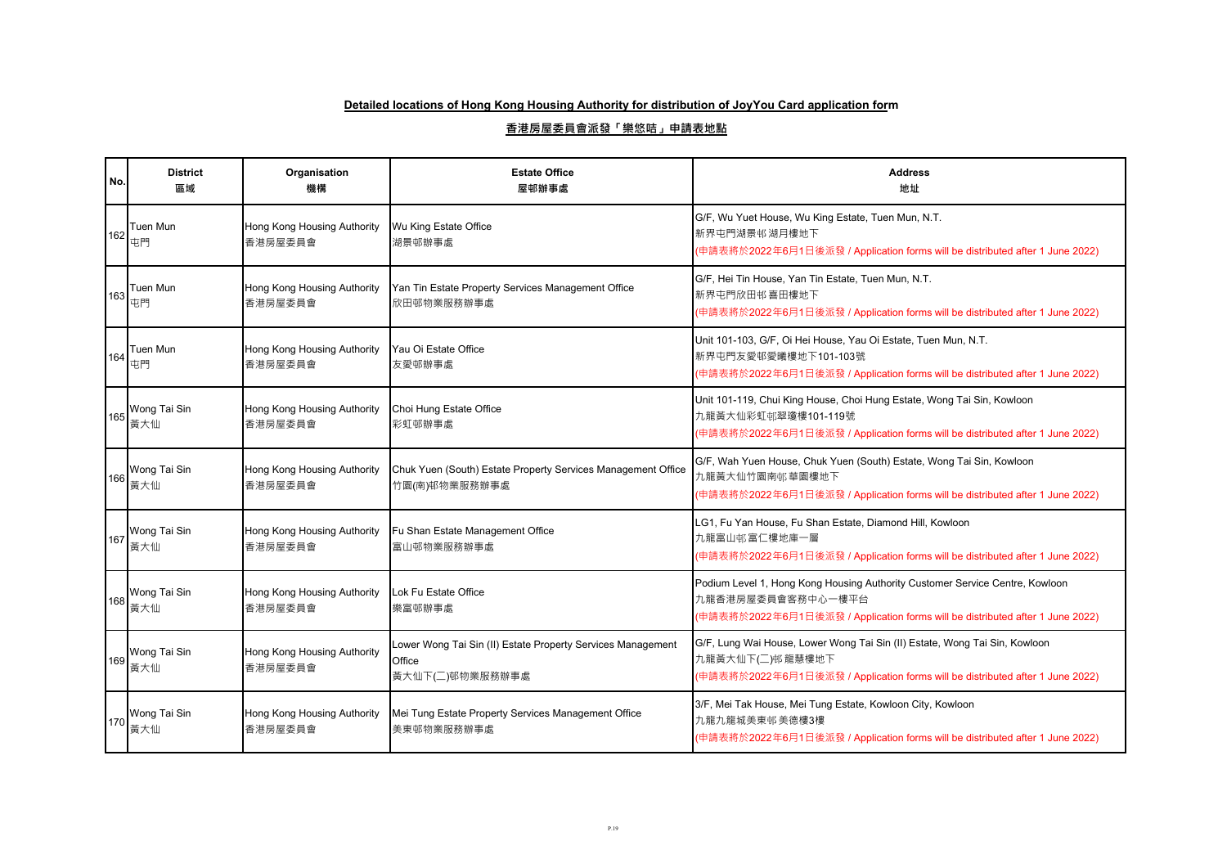| No. | <b>District</b><br>區域 | Organisation<br>機構                     | <b>Estate Office</b><br>屋邨辦事處                                                            | <b>Address</b><br>地址                                                                                                                                                               |
|-----|-----------------------|----------------------------------------|------------------------------------------------------------------------------------------|------------------------------------------------------------------------------------------------------------------------------------------------------------------------------------|
| 162 | Tuen Mun<br>屯門        | Hong Kong Housing Authority<br>香港房屋委員會 | Wu King Estate Office<br>湖景邨辦事處                                                          | G/F, Wu Yuet House, Wu King Estate, Tuen Mun, N.T.<br>新界屯門湖景邨湖月樓地下<br>(申請表將於2022年6月1日後派發 / Application forms will be distributed after 1 June 2022)                                |
| 163 | Tuen Mun<br>屯門        | Hong Kong Housing Authority<br>香港房屋委員會 | Yan Tin Estate Property Services Management Office<br>欣田邨物業服務辦事處                         | G/F, Hei Tin House, Yan Tin Estate, Tuen Mun, N.T.<br>新界屯門欣田邨喜田樓地下<br>(申請表將於2022年6月1日後派發 / Application forms will be distributed after 1 June 2022)                                |
| 164 | Tuen Mun<br>屯門        | Hong Kong Housing Authority<br>香港房屋委員會 | Yau Oi Estate Office<br>友愛邨辦事處                                                           | Unit 101-103, G/F, Oi Hei House, Yau Oi Estate, Tuen Mun, N.T.<br>新界屯門友愛邨愛曦樓地下101-103號<br>(申請表將於2022年6月1日後派發 / Application forms will be distributed after 1 June 2022)            |
| 165 | Wong Tai Sin<br>黃大仙   | Hong Kong Housing Authority<br>香港房屋委員會 | Choi Hung Estate Office<br>彩虹邨辦事處                                                        | Unit 101-119, Chui King House, Choi Hung Estate, Wong Tai Sin, Kowloon<br>九龍黃大仙彩虹邨翠瓊樓101-119號<br>(申請表將於2022年6月1日後派發 / Application forms will be distributed after 1 June 2022)     |
| 166 | Wong Tai Sin<br>黃大仙   | Hong Kong Housing Authority<br>香港房屋委員會 | Chuk Yuen (South) Estate Property Services Management Office<br>竹園(南)邨物業服務辦事處            | G/F, Wah Yuen House, Chuk Yuen (South) Estate, Wong Tai Sin, Kowloon<br>九龍黃大仙竹園南邨華園樓地下<br>(申請表將於2022年6月1日後派發 / Application forms will be distributed after 1 June 2022)            |
| 167 | Wong Tai Sin<br>黃大仙   | Hong Kong Housing Authority<br>香港房屋委員會 | Fu Shan Estate Management Office<br>富山邨物業服務辦事處                                           | LG1, Fu Yan House, Fu Shan Estate, Diamond Hill, Kowloon<br>九龍富山邨富仁樓地庫一層<br>(申請表將於2022年6月1日後派發 / Application forms will be distributed after 1 June 2022)                          |
| 168 | Wong Tai Sin<br>黃大仙   | Hong Kong Housing Authority<br>香港房屋委員會 | Lok Fu Estate Office<br>樂富邨辦事處                                                           | Podium Level 1, Hong Kong Housing Authority Customer Service Centre, Kowloon<br>九龍香港房屋委員會客務中心一樓平台<br>(申請表將於2022年6月1日後派發 / Application forms will be distributed after 1 June 2022) |
| 169 | Wong Tai Sin<br>黃大仙   | Hong Kong Housing Authority<br>香港房屋委員會 | Lower Wong Tai Sin (II) Estate Property Services Management<br>Office<br>黃大仙下(二)邨物業服務辦事處 | G/F, Lung Wai House, Lower Wong Tai Sin (II) Estate, Wong Tai Sin, Kowloon<br>九龍黃大仙下(二)邨龍慧樓地下<br>(申請表將於2022年6月1日後派發 / Application forms will be distributed after 1 June 2022)     |
| 170 | Wong Tai Sin<br>黃大仙   | Hong Kong Housing Authority<br>香港房屋委員會 | Mei Tung Estate Property Services Management Office<br>美東邨物業服務辦事處                        | 3/F, Mei Tak House, Mei Tung Estate, Kowloon City, Kowloon<br>九龍九龍城美東邨美德樓3樓<br>(申請表將於2022年6月1日後派發 / Application forms will be distributed after 1 June 2022)                       |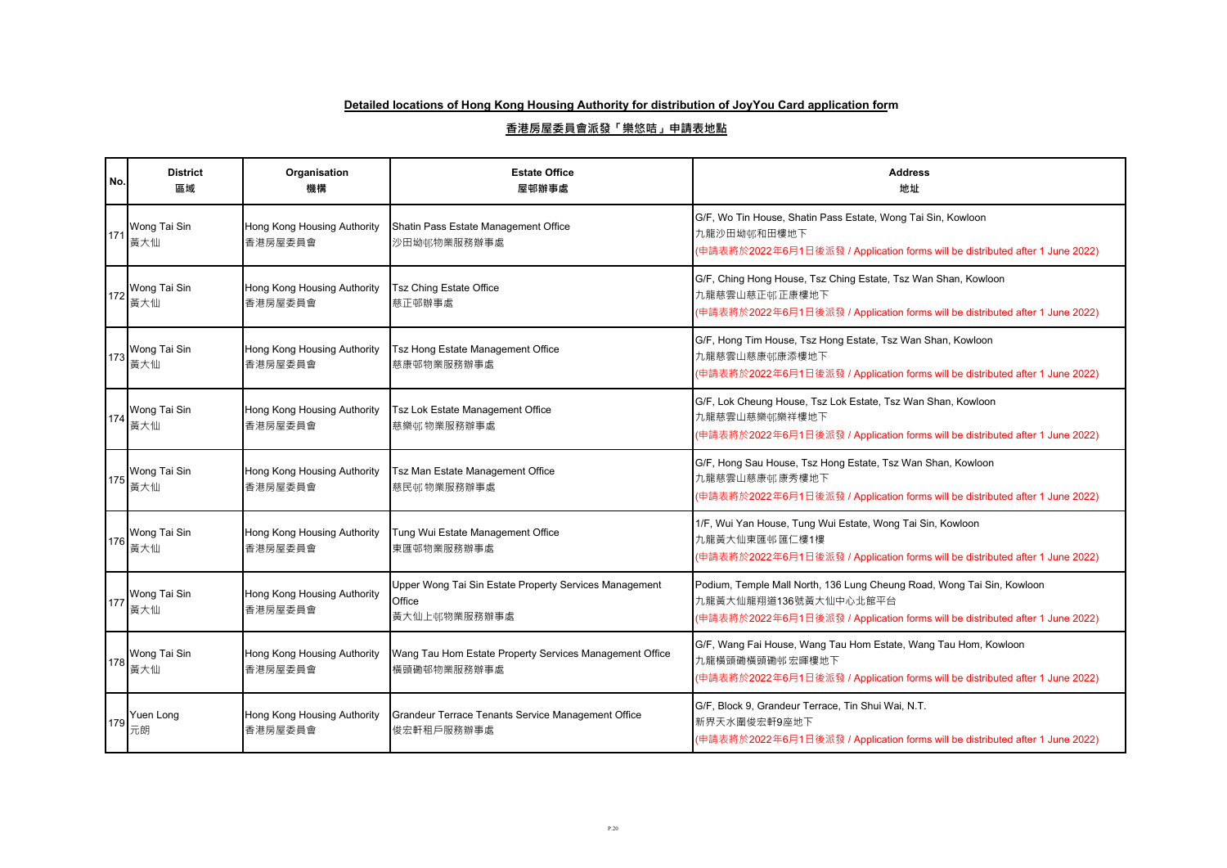| No. | <b>District</b><br>區域 | Organisation<br>機構                     | <b>Estate Office</b><br>屋邨辦事處                                                    | <b>Address</b><br>地址                                                                                                                                                             |
|-----|-----------------------|----------------------------------------|----------------------------------------------------------------------------------|----------------------------------------------------------------------------------------------------------------------------------------------------------------------------------|
| 171 | Wong Tai Sin<br>黃大仙   | Hong Kong Housing Authority<br>香港房屋委員會 | Shatin Pass Estate Management Office<br>沙田坳邨物業服務辦事處                              | G/F, Wo Tin House, Shatin Pass Estate, Wong Tai Sin, Kowloon<br>九龍沙田坳邨和田樓地下<br>(申請表將於2022年6月1日後派發 / Application forms will be distributed after 1 June 2022)                     |
| 172 | Wong Tai Sin<br>黃大仙   | Hong Kong Housing Authority<br>香港房屋委員會 | <b>Tsz Ching Estate Office</b><br>慈正邨辦事處                                         | G/F, Ching Hong House, Tsz Ching Estate, Tsz Wan Shan, Kowloon<br>九龍慈雲山慈正邨正康樓地下<br>(申請表將於2022年6月1日後派發 / Application forms will be distributed after 1 June 2022)                 |
| 173 | Wong Tai Sin<br>黃大仙   | Hong Kong Housing Authority<br>香港房屋委員會 | Tsz Hong Estate Management Office<br>慈康邨物業服務辦事處                                  | G/F, Hong Tim House, Tsz Hong Estate, Tsz Wan Shan, Kowloon<br>九龍慈雲山慈康邨康添樓地下<br>(申請表將於2022年6月1日後派發 / Application forms will be distributed after 1 June 2022)                    |
| 174 | Wong Tai Sin<br>黃大仙   | Hong Kong Housing Authority<br>香港房屋委員會 | Tsz Lok Estate Management Office<br>慈樂邨物業服務辦事處                                   | G/F, Lok Cheung House, Tsz Lok Estate, Tsz Wan Shan, Kowloon<br>九龍慈雲山慈樂邨樂祥樓地下<br>(申請表將於2022年6月1日後派發 / Application forms will be distributed after 1 June 2022)                   |
| 175 | Wong Tai Sin<br>黃大仙   | Hong Kong Housing Authority<br>香港房屋委員會 | Tsz Man Estate Management Office<br>慈民邨物業服務辦事處                                   | G/F, Hong Sau House, Tsz Hong Estate, Tsz Wan Shan, Kowloon<br>九龍慈雲山慈康邨康秀樓地下<br>(申請表將於2022年6月1日後派發 / Application forms will be distributed after 1 June 2022)                    |
| 176 | Wong Tai Sin<br>黃大仙   | Hong Kong Housing Authority<br>香港房屋委員會 | Tung Wui Estate Management Office<br>東匯邨物業服務辦事處                                  | 1/F, Wui Yan House, Tung Wui Estate, Wong Tai Sin, Kowloon<br>九龍黃大仙東匯邨匯仁樓1樓<br>(申請表將於2022年6月1日後派發 / Application forms will be distributed after 1 June 2022)                     |
| 177 | Wong Tai Sin<br>黃大仙   | Hong Kong Housing Authority<br>香港房屋委員會 | Upper Wong Tai Sin Estate Property Services Management<br>Office<br>黃大仙上邨物業服務辦事處 | Podium, Temple Mall North, 136 Lung Cheung Road, Wong Tai Sin, Kowloon<br>九龍黃大仙龍翔道136號黃大仙中心北館平台<br>(申請表將於2022年6月1日後派發 / Application forms will be distributed after 1 June 2022) |
| 178 | Wong Tai Sin<br>黃大仙   | Hong Kong Housing Authority<br>香港房屋委員會 | Wang Tau Hom Estate Property Services Management Office<br>橫頭磡邨物業服務辦事處           | G/F, Wang Fai House, Wang Tau Hom Estate, Wang Tau Hom, Kowloon<br>九龍橫頭磡橫頭磡邨宏暉樓地下<br>(申請表將於2022年6月1日後派發 / Application forms will be distributed after 1 June 2022)               |
| 179 | Yuen Long<br>元朗       | Hong Kong Housing Authority<br>香港房屋委員會 | Grandeur Terrace Tenants Service Management Office<br>俊宏軒租戶服務辦事處                 | G/F, Block 9, Grandeur Terrace, Tin Shui Wai, N.T.<br>新界天水圍俊宏軒9座地下<br>(申請表將於2022年6月1日後派發 / Application forms will be distributed after 1 June 2022)                              |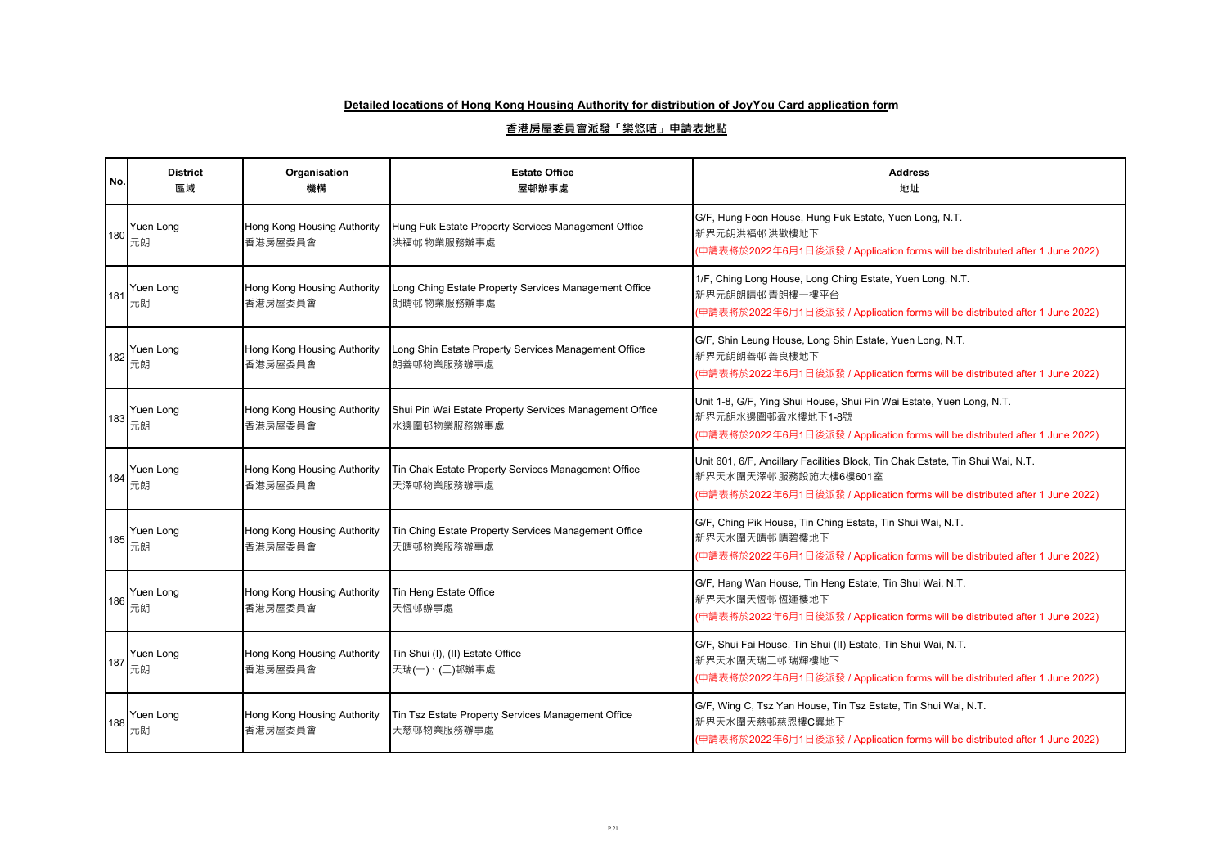| No. | <b>District</b><br>區域 | Organisation<br>機構                     | <b>Estate Office</b><br>屋邨辦事處                                          | <b>Address</b><br>地址                                                                                                                                                                    |
|-----|-----------------------|----------------------------------------|------------------------------------------------------------------------|-----------------------------------------------------------------------------------------------------------------------------------------------------------------------------------------|
| 180 | Yuen Long<br>元朗       | Hong Kong Housing Authority<br>香港房屋委員會 | Hung Fuk Estate Property Services Management Office<br>洪福邨物業服務辦事處      | G/F, Hung Foon House, Hung Fuk Estate, Yuen Long, N.T.<br>新界元朗洪褔邨洪歡樓地下<br>(申請表將於2022年6月1日後派發 / Application forms will be distributed after 1 June 2022)                                 |
| 181 | Yuen Long<br>元朗       | Hong Kong Housing Authority<br>香港房屋委員會 | Long Ching Estate Property Services Management Office<br>朗晴邨物業服務辦事處    | 1/F, Ching Long House, Long Ching Estate, Yuen Long, N.T.<br>新界元朗朗晴邨青朗樓一樓平台<br>(申請表將於2022年6月1日後派發 / Application forms will be distributed after 1 June 2022)                            |
| 182 | Yuen Long<br>元朗       | Hong Kong Housing Authority<br>香港房屋委員會 | Long Shin Estate Property Services Management Office<br>朗善邨物業服務辦事處     | G/F, Shin Leung House, Long Shin Estate, Yuen Long, N.T.<br>新界元朗朗善邨善良樓地下<br>(申請表將於2022年6月1日後派發 / Application forms will be distributed after 1 June 2022)                               |
| 183 | Yuen Long<br>元朗       | Hong Kong Housing Authority<br>香港房屋委員會 | Shui Pin Wai Estate Property Services Management Office<br>水邊圍邨物業服務辦事處 | Unit 1-8, G/F, Ying Shui House, Shui Pin Wai Estate, Yuen Long, N.T.<br>新界元朗水邊圍邨盈水樓地下1-8號<br>(申請表將於2022年6月1日後派發 / Application forms will be distributed after 1 June 2022)              |
| 184 | Yuen Long<br>元朗       | Hong Kong Housing Authority<br>香港房屋委員會 | Tin Chak Estate Property Services Management Office<br>天澤邨物業服務辦事處      | Unit 601, 6/F, Ancillary Facilities Block, Tin Chak Estate, Tin Shui Wai, N.T.<br>新界天水圍天澤邨服務設施大樓6樓601室<br>(申請表將於2022年6月1日後派發 / Application forms will be distributed after 1 June 2022) |
| 185 | Yuen Long<br>元朗       | Hong Kong Housing Authority<br>香港房屋委員會 | Tin Ching Estate Property Services Management Office<br>天晴邨物業服務辦事處     | G/F, Ching Pik House, Tin Ching Estate, Tin Shui Wai, N.T.<br>新界天水圍天晴邨晴碧樓地下<br>(申請表將於2022年6月1日後派發 / Application forms will be distributed after 1 June 2022)                            |
| 186 | Yuen Long<br>元朗       | Hong Kong Housing Authority<br>香港房屋委員會 | Tin Heng Estate Office<br>天恆邨辦事處                                       | G/F, Hang Wan House, Tin Heng Estate, Tin Shui Wai, N.T.<br>新界天水圍天恆邨恆運樓地下<br>(申請表將於2022年6月1日後派發 / Application forms will be distributed after 1 June 2022)                              |
| 187 | Yuen Long<br>元朗       | Hong Kong Housing Authority<br>香港房屋委員會 | Tin Shui (I), (II) Estate Office<br>天瑞(一)、(二)邨辦事處                      | G/F, Shui Fai House, Tin Shui (II) Estate, Tin Shui Wai, N.T.<br>新界天水圍天瑞二邨瑞輝樓地下<br>(申請表將於2022年6月1日後派發 / Application forms will be distributed after 1 June 2022)                        |
| 188 | Yuen Long<br>元朗       | Hong Kong Housing Authority<br>香港房屋委員會 | Tin Tsz Estate Property Services Management Office<br>天慈邨物業服務辦事處       | G/F, Wing C, Tsz Yan House, Tin Tsz Estate, Tin Shui Wai, N.T.<br>新界天水圍天慈邨慈恩樓C翼地下<br>(申請表將於2022年6月1日後派發 / Application forms will be distributed after 1 June 2022)                      |